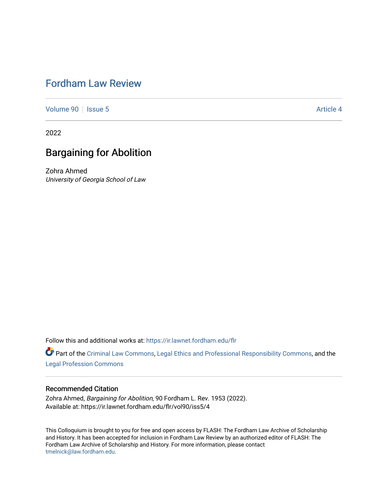# [Fordham Law Review](https://ir.lawnet.fordham.edu/flr)

[Volume 90](https://ir.lawnet.fordham.edu/flr/vol90) | [Issue 5](https://ir.lawnet.fordham.edu/flr/vol90/iss5) Article 4

2022

# Bargaining for Abolition

Zohra Ahmed University of Georgia School of Law

Follow this and additional works at: [https://ir.lawnet.fordham.edu/flr](https://ir.lawnet.fordham.edu/flr?utm_source=ir.lawnet.fordham.edu%2Fflr%2Fvol90%2Fiss5%2F4&utm_medium=PDF&utm_campaign=PDFCoverPages)

Part of the [Criminal Law Commons,](http://network.bepress.com/hgg/discipline/912?utm_source=ir.lawnet.fordham.edu%2Fflr%2Fvol90%2Fiss5%2F4&utm_medium=PDF&utm_campaign=PDFCoverPages) [Legal Ethics and Professional Responsibility Commons](http://network.bepress.com/hgg/discipline/895?utm_source=ir.lawnet.fordham.edu%2Fflr%2Fvol90%2Fiss5%2F4&utm_medium=PDF&utm_campaign=PDFCoverPages), and the [Legal Profession Commons](http://network.bepress.com/hgg/discipline/1075?utm_source=ir.lawnet.fordham.edu%2Fflr%2Fvol90%2Fiss5%2F4&utm_medium=PDF&utm_campaign=PDFCoverPages)

# Recommended Citation

Zohra Ahmed, Bargaining for Abolition, 90 Fordham L. Rev. 1953 (2022). Available at: https://ir.lawnet.fordham.edu/flr/vol90/iss5/4

This Colloquium is brought to you for free and open access by FLASH: The Fordham Law Archive of Scholarship and History. It has been accepted for inclusion in Fordham Law Review by an authorized editor of FLASH: The Fordham Law Archive of Scholarship and History. For more information, please contact [tmelnick@law.fordham.edu](mailto:tmelnick@law.fordham.edu).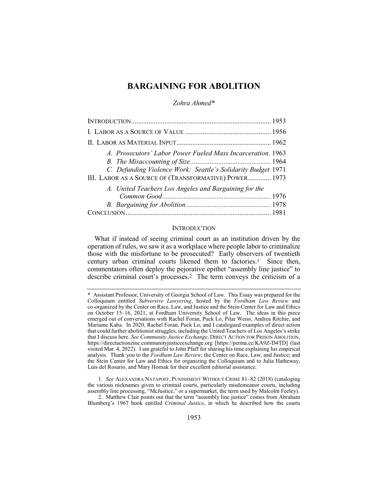# **BARGAINING FOR ABOLITION**

*Zohra Ahmed\**

| A. Prosecutors' Labor Power Fueled Mass Incarceration. 1963  |  |
|--------------------------------------------------------------|--|
|                                                              |  |
| C. Defunding Violence Work: Seattle's Solidarity Budget 1971 |  |
| III. LABOR AS A SOURCE OF (TRANSFORMATIVE) POWER 1973        |  |
| A. United Teachers Los Angeles and Bargaining for the        |  |
|                                                              |  |
|                                                              |  |
|                                                              |  |

#### **INTRODUCTION**

What if instead of seeing criminal court as an institution driven by the operation of rules, we saw it as a workplace where people labor to criminalize those with the misfortune to be prosecuted? Early observers of twentieth century urban criminal courts likened them to factories.1 Since then, commentators often deploy the pejorative epithet "assembly line justice" to describe criminal court's processes.2 The term conveys the criticism of a

1*. See* ALEXANDRA NATAPOFF, PUNISHMENT WITHOUT CRIME 81–82 (2018) (cataloging the various nicknames given to criminal courts, particularly misdemeanor courts, including assembly line processing, "McJustice," or a supermarket, the term used by Malcolm Feeley). 2. Matthew Clair points out that the term "assembly line justice" comes from Abraham Blumberg's 1967 book entitled *Criminal Justice*, in which he described how the courts

<sup>\*</sup> Assistant Professor, University of Georgia School of Law. This Essay was prepared for the Colloquium entitled *Subversive Lawyering*, hosted by the *Fordham Law Review* and co-organized by the Center on Race, Law, and Justice and the Stein Center for Law and Ethics on October 15–16, 2021, at Fordham University School of Law. The ideas in this piece emerged out of conversations with Rachel Foran, Puck Lo, Pilar Weiss, Andrea Ritchie, and Mariame Kaba. In 2020, Rachel Foran, Puck Lo, and I catalogued examples of direct action that could further abolitionist struggles, including the United Teachers of Los Angeles's strike that I discuss here. *See Community Justice Exchange*, DIRECT ACTION FOR PRISON ABOLITION, https://directactionzine.communityjusticeexchange.org [https://perma.cc/KA9Z-D4TD] (last visited Mar. 4, 2022). I am grateful to John Pfaff for sharing his time explaining his empirical analysis. Thank you to the *Fordham Law Review*; the Center on Race, Law, and Justice; and the Stein Center for Law and Ethics for organizing the Colloquium and to Julia Hatheway, Luis del Rosario, and Mary Hornak for their excellent editorial assistance.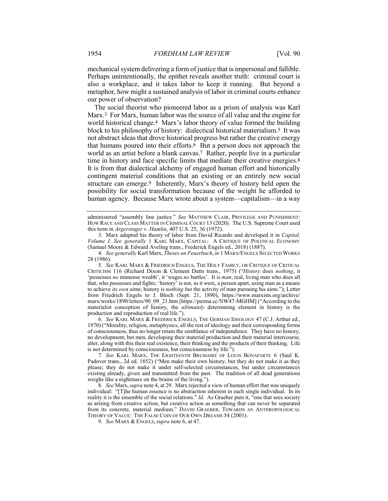mechanical system delivering a form of justice that is impersonal and fallible. Perhaps unintentionally, the epithet reveals another truth: criminal court is also a workplace, and it takes labor to keep it running. But beyond a metaphor, how might a sustained analysis of labor in criminal courts enhance our power of observation?

The social theorist who pioneered labor as a prism of analysis was Karl Marx.3 For Marx, human labor was the source of all value and the engine for world historical change.4 Marx's labor theory of value formed the building block to his philosophy of history: dialectical historical materialism.5 It was not abstract ideas that drove historical progress but rather the creative energy that humans poured into their efforts.6 But a person does not approach the world as an artist before a blank canvas.7 Rather, people live in a particular time in history and face specific limits that mediate their creative energies.<sup>8</sup> It is from that dialectical alchemy of engaged human effort and historically contingent material conditions that an existing or an entirely new social structure can emerge.9 Inherently, Marx's theory of history held open the possibility for social transformation because of the weight he afforded to human agency. Because Marx wrote about a system—capitalism—in a way

3. Marx adapted his theory of labor from David Ricardo and developed it in *Capital, Volume I*. *See generally* 1 KARL MARX, CAPITAL: A CRITIQUE OF POLITICAL ECONOMY (Samuel Moore & Edward Aveling trans., Frederick Engels ed., 2018) (1887).

5*. See* KARL MARX & FRIEDRICH ENGELS, THE HOLY FAMILY, OR CRITIQUE OF CRITICAL CRITICISM 116 (Richard Dixon & Clement Dutts trans., 1975) ("*History* does *nothing*, it 'possesses *no* immense wealth', it 'wages *no* battles'. It is *man*, real, living man who does all that, who possesses and fights; 'history' is not, as it were, a person apart, using man as a means to achieve *its own* aims; history is *nothing but* the activity of man pursuing his aims."); Letter from Friedrich Engels to J. Bloch (Sept. 21, 1890), https://www.marxists.org/archive/ marx/works/1890/letters/90\_09\_21.htm [https://perma.cc/NW47-MGHM] ("According to the materialist conception of history, the *ultimately* determining element in history is the production and reproduction of real life.").

6*. See* KARL MARX & FREDERICK ENGELS, THE GERMAN IDEOLOGY 47 (C.J. Arthur ed., 1970) ("Morality, religion, metaphysics, all the rest of ideology and their corresponding forms of consciousness, thus no longer retain the semblance of independence. They have no history, no development; but men, developing their material production and their material intercourse, alter, along with this their real existence, their thinking and the products of their thinking. Life is not determined by consciousness, but consciousness by life.").

7*. See* KARL MARX, THE EIGHTEENTH BRUMAIRE OF LOUIS BONAPARTE 6 (Saul K. Padover trans., 2d ed. 1852) ("Men make their own history, but they do not make it as they please; they do not make it under self-selected circumstances, but under circumstances existing already, given and transmitted from the past. The tradition of all dead generations weighs like a nightmare on the brains of the living.").

8*. See* Marx,*supra* note 4, at 29. Marx rejected a view of human effort that was uniquely individual: "[T]he human essence is no abstraction inherent in each single individual. In its reality it is the ensemble of the social relations." *Id.* As Graeber puts it, "one that sees society as arising from creative action, but creative action as something that can never be separated from its concrete, material medium." DAVID GRAEBER, TOWARDS AN ANTHROPOLOGICAL THEORY OF VALUE: THE FALSE COIN OF OUR OWN DREAMS 54 (2001).

9*. See* MARX & ENGELS, *supra* note 6, at 47.

administered "assembly line justice." *See* MATTHEW CLAIR, PRIVILEGE AND PUNISHMENT: HOW RACE AND CLASS MATTER IN CRIMINAL COURT 13 (2020). The U.S. Supreme Court used this term in *Argersinger v. Hamlin*, 407 U.S. 25, 36 (1972).

<sup>4</sup>*. See generally* Karl Marx, *Theses on Feuerbach*, *in* 1 MARX/ENGELS SELECTED WORKS 28 (1986).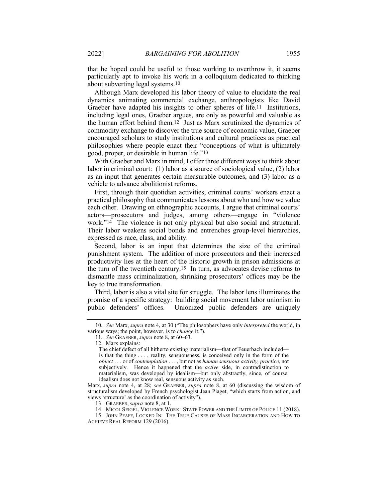that he hoped could be useful to those working to overthrow it, it seems particularly apt to invoke his work in a colloquium dedicated to thinking about subverting legal systems.10

Although Marx developed his labor theory of value to elucidate the real dynamics animating commercial exchange, anthropologists like David Graeber have adapted his insights to other spheres of life.<sup>11</sup> Institutions, including legal ones, Graeber argues, are only as powerful and valuable as the human effort behind them.12 Just as Marx scrutinized the dynamics of commodity exchange to discover the true source of economic value, Graeber encouraged scholars to study institutions and cultural practices as practical philosophies where people enact their "conceptions of what is ultimately good, proper, or desirable in human life."13

With Graeber and Marx in mind, I offer three different ways to think about labor in criminal court: (1) labor as a source of sociological value, (2) labor as an input that generates certain measurable outcomes, and (3) labor as a vehicle to advance abolitionist reforms.

First, through their quotidian activities, criminal courts' workers enact a practical philosophy that communicates lessons about who and how we value each other. Drawing on ethnographic accounts, I argue that criminal courts' actors—prosecutors and judges, among others—engage in "violence work."14 The violence is not only physical but also social and structural. Their labor weakens social bonds and entrenches group-level hierarchies, expressed as race, class, and ability.

Second, labor is an input that determines the size of the criminal punishment system. The addition of more prosecutors and their increased productivity lies at the heart of the historic growth in prison admissions at the turn of the twentieth century.15 In turn, as advocates devise reforms to dismantle mass criminalization, shrinking prosecutors' offices may be the key to true transformation.

Third, labor is also a vital site for struggle. The labor lens illuminates the promise of a specific strategy: building social movement labor unionism in public defenders' offices. Unionized public defenders are uniquely

<sup>10</sup>*. See* Marx, *supra* note 4, at 30 ("The philosophers have only *interpreted* the world, in various ways; the point, however, is to *change* it.").

<sup>11</sup>*. See* GRAEBER, *supra* note 8, at 60–63.

<sup>12.</sup> Marx explains:

The chief defect of all hitherto existing materialism—that of Feuerbach included is that the thing . . . , reality, sensuousness, is conceived only in the form of the *object* . . . or of *contemplation* . . . , but not as *human sensuous activity, practice*, not subjectively. Hence it happened that the *active* side, in contradistinction to materialism, was developed by idealism—but only abstractly, since, of course, idealism does not know real, sensuous activity as such.

Marx, *supra* note 4, at 28; *see* GRAEBER, *supra* note 8, at 60 (discussing the wisdom of structuralism developed by French psychologist Jean Piaget, "which starts from action, and views 'structure' as the coordination of activity").

<sup>13.</sup> GRAEBER, *supra* note 8, at 1.

<sup>14.</sup> MICOL SEIGEL, VIOLENCE WORK: STATE POWER AND THE LIMITS OF POLICE 11 (2018).

<sup>15.</sup> JOHN PFAFF, LOCKED IN: THE TRUE CAUSES OF MASS INCARCERATION AND HOW TO ACHIEVE REAL REFORM 129 (2016).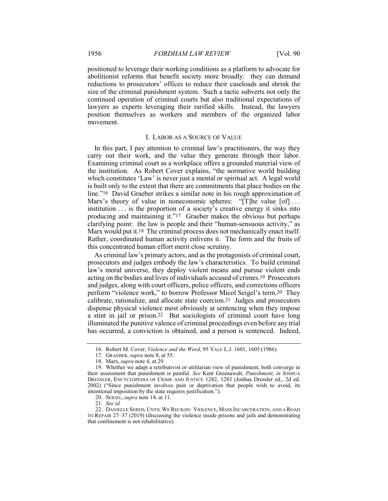positioned to leverage their working conditions as a platform to advocate for abolitionist reforms that benefit society more broadly: they can demand reductions to prosecutors' offices to reduce their caseloads and shrink the size of the criminal punishment system. Such a tactic subverts not only the continued operation of criminal courts but also traditional expectations of lawyers as experts leveraging their rarified skills. Instead, the lawyers position themselves as workers and members of the organized labor movement.

# I. LABOR AS A SOURCE OF VALUE

In this part, I pay attention to criminal law's practitioners, the way they carry out their work, and the value they generate through their labor. Examining criminal court as a workplace offers a grounded material view of the institution. As Robert Cover explains, "the normative world building which constitutes 'Law' is never just a mental or spiritual act. A legal world is built only to the extent that there are commitments that place bodies on the line."16 David Graeber strikes a similar note in his rough approximation of Marx's theory of value in noneconomic spheres: "[T]he value [of]... institution . . . is the proportion of a society's creative energy it sinks into producing and maintaining it."17 Graeber makes the obvious but perhaps clarifying point: the law is people and their "human-sensuous activity," as Marx would put it.<sup>18</sup> The criminal process does not mechanically enact itself. Rather, coordinated human activity enlivens it. The form and the fruits of this concentrated human effort merit close scrutiny.

As criminal law's primary actors, and as the protagonists of criminal court, prosecutors and judges embody the law's characteristics. To build criminal law's moral universe, they deploy violent means and pursue violent ends acting on the bodies and lives of individuals accused of crimes.19 Prosecutors and judges, along with court officers, police officers, and corrections officers perform "violence work," to borrow Professor Micol Seigel's term.20 They calibrate, rationalize, and allocate state coercion.21 Judges and prosecutors dispense physical violence most obviously at sentencing when they impose a stint in jail or prison.22 But sociologists of criminal court have long illuminated the punitive valence of criminal proceedings even before any trial has occurred, a conviction is obtained, and a person is sentenced. Indeed,

21*. See id.*

<sup>16.</sup> Robert M. Cover, *Violence and the Word*, 95 YALE L.J. 1601, 1605 (1986).

<sup>17.</sup> GRAEBER, *supra* note 8, at 55.

<sup>18.</sup> Marx, *supra* note 4, at 29.

<sup>19.</sup> Whether we adapt a retributivist or utilitarian view of punishment, both converge in their assessment that punishment is painful. *See* Kent Greenawalt, *Punishment*, *in* JOSHUA DRESSLER, ENCYCLOPEDIA OF CRIME AND JUSTICE 1282, 1283 (Joshua Dressler ed., 2d ed. 2002) ("Since punishment involves pain or deprivation that people wish to avoid, its intentional imposition by the state requires justification.").

<sup>20.</sup> SEIGEL, *supra* note 14, at 11.

<sup>22.</sup> DANIELLE SERED, UNTIL WE RECKON: VIOLENCE, MASS INCARCERATION, AND A ROAD TO REPAIR 27–37 (2019) (discussing the violence inside prisons and jails and demonstrating that confinement is not rehabilitative).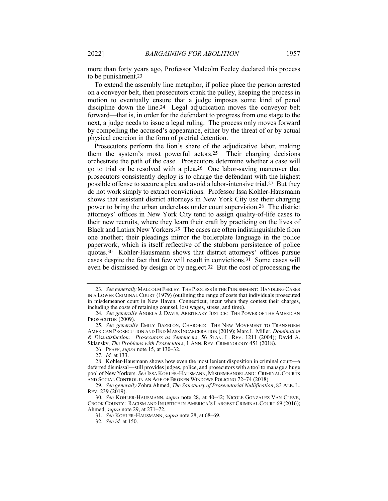more than forty years ago, Professor Malcolm Feeley declared this process to be punishment.23

To extend the assembly line metaphor, if police place the person arrested on a conveyor belt, then prosecutors crank the pulley, keeping the process in motion to eventually ensure that a judge imposes some kind of penal discipline down the line.24 Legal adjudication moves the conveyor belt forward—that is, in order for the defendant to progress from one stage to the next, a judge needs to issue a legal ruling. The process only moves forward by compelling the accused's appearance, either by the threat of or by actual physical coercion in the form of pretrial detention.

Prosecutors perform the lion's share of the adjudicative labor, making them the system's most powerful actors.25 Their charging decisions orchestrate the path of the case. Prosecutors determine whether a case will go to trial or be resolved with a plea.26 One labor-saving maneuver that prosecutors consistently deploy is to charge the defendant with the highest possible offense to secure a plea and avoid a labor-intensive trial.27 But they do not work simply to extract convictions. Professor Issa Kohler-Hausmann shows that assistant district attorneys in New York City use their charging power to bring the urban underclass under court supervision.28 The district attorneys' offices in New York City tend to assign quality-of-life cases to their new recruits, where they learn their craft by practicing on the lives of Black and Latinx New Yorkers.29 The cases are often indistinguishable from one another; their pleadings mirror the boilerplate language in the police paperwork, which is itself reflective of the stubborn persistence of police quotas.30 Kohler-Hausmann shows that district attorneys' offices pursue cases despite the fact that few will result in convictions.31 Some cases will even be dismissed by design or by neglect.32 But the cost of processing the

26. PFAFF, *supra* note 15, at 130–32.

<sup>23</sup>*. See generally* MALCOLM FEELEY, THE PROCESS IS THE PUNISHMENT: HANDLING CASES IN A LOWER CRIMINAL COURT (1979) (outlining the range of costs that individuals prosecuted in misdemeanor court in New Haven, Connecticut, incur when they contest their charges, including the costs of retaining counsel, lost wages, stress, and time).

<sup>24</sup>*. See generally* ANGELA J. DAVIS, ARBITRARY JUSTICE: THE POWER OF THE AMERICAN PROSECUTOR (2009).

<sup>25</sup>*. See generally* EMILY BAZELON, CHARGED: THE NEW MOVEMENT TO TRANSFORM AMERICAN PROSECUTION AND END MASS INCARCERATION (2019); Marc L. Miller, *Domination & Dissatisfaction: Prosecutors as Sentencers*, 56 STAN. L. REV. 1211 (2004); David A. Sklansky, *The Problems with Prosecutors*, 1 ANN. REV. CRIMINOLOGY 451 (2018).

<sup>27</sup>*. Id.* at 133.

<sup>28.</sup> Kohler-Hausmann shows how even the most lenient disposition in criminal court—a deferred dismissal—still provides judges, police, and prosecutors with a tool to manage a huge pool of New Yorkers. *See* ISSA KOHLER-HAUSMANN, MISDEMEANORLAND: CRIMINAL COURTS AND SOCIAL CONTROL IN AN AGE OF BROKEN WINDOWS POLICING 72–74 (2018).

<sup>29</sup>*. See generally* Zohra Ahmed, *The Sanctuary of Prosecutorial Nullification*, 83 ALB. L. REV. 239 (2019).

<sup>30</sup>*. See* KOHLER-HAUSMANN, *supra* note 28, at 40–42; NICOLE GONZALEZ VAN CLEVE, CROOK COUNTY: RACISM AND INJUSTICE IN AMERICA'S LARGEST CRIMINAL COURT 69 (2016); Ahmed, *supra* note 29, at 271–72.

<sup>31</sup>*. See* KOHLER-HAUSMANN, *supra* note 28, at 68–69.

<sup>32</sup>*. See id.* at 150.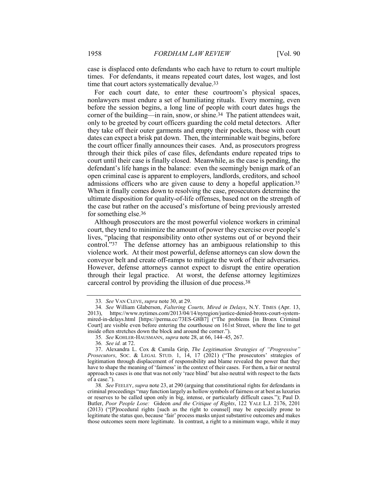case is displaced onto defendants who each have to return to court multiple times. For defendants, it means repeated court dates, lost wages, and lost time that court actors systematically devalue.33

For each court date, to enter these courtroom's physical spaces, nonlawyers must endure a set of humiliating rituals. Every morning, even before the session begins, a long line of people with court dates hugs the corner of the building—in rain, snow, or shine.34 The patient attendees wait, only to be greeted by court officers guarding the cold metal detectors. After they take off their outer garments and empty their pockets, those with court dates can expect a brisk pat down. Then, the interminable wait begins, before the court officer finally announces their cases. And, as prosecutors progress through their thick piles of case files, defendants endure repeated trips to court until their case is finally closed. Meanwhile, as the case is pending, the defendant's life hangs in the balance: even the seemingly benign mark of an open criminal case is apparent to employers, landlords, creditors, and school admissions officers who are given cause to deny a hopeful application.35 When it finally comes down to resolving the case, prosecutors determine the ultimate disposition for quality-of-life offenses, based not on the strength of the case but rather on the accused's misfortune of being previously arrested for something else.36

Although prosecutors are the most powerful violence workers in criminal court, they tend to minimize the amount of power they exercise over people's lives, "placing that responsibility onto other systems out of or beyond their control."37 The defense attorney has an ambiguous relationship to this violence work. At their most powerful, defense attorneys can slow down the conveyor belt and create off-ramps to mitigate the work of their adversaries. However, defense attorneys cannot expect to disrupt the entire operation through their legal practice. At worst, the defense attorney legitimizes carceral control by providing the illusion of due process.38

<sup>33</sup>*. See* VAN CLEVE, *supra* note 30, at 29.

<sup>34</sup>*. See* William Glaberson, *Faltering Courts, Mired in Delays*, N.Y. TIMES (Apr. 13, 2013), https://www.nytimes.com/2013/04/14/nyregion/justice-denied-bronx-court-systemmired-in-delays.html [https://perma.cc/73ES-G8B7] ("The problems [in Bronx Criminal Court] are visible even before entering the courthouse on 161st Street, where the line to get inside often stretches down the block and around the corner.").

<sup>35</sup>*. See* KOHLER-HAUSMANN, *supra* note 28, at 66, 144–45, 267.

<sup>36</sup>*. See id.* at 72.

<sup>37.</sup> Alexandra L. Cox & Camila Grip, *The Legitimation Strategies of "Progressive" Prosecutors*, SOC. & LEGAL STUD. 1, 14, 17 (2021) ("The prosecutors' strategies of legitimation through displacement of responsibility and blame revealed the power that they have to shape the meaning of 'fairness' in the context of their cases. For them, a fair or neutral approach to cases is one that was not only 'race blind' but also neutral with respect to the facts of a case.").

<sup>38</sup>*. See* FEELEY, *supra* note 23, at 290 (arguing that constitutional rights for defendants in criminal proceedings "may function largely as hollow symbols of fairness or at best as luxuries or reserves to be called upon only in big, intense, or particularly difficult cases."); Paul D. Butler, *Poor People Lose:* Gideon *and the Critique of Rights*, 122 YALE L.J. 2176, 2201 (2013) ("[P]rocedural rights [such as the right to counsel] may be especially prone to legitimate the status quo, because 'fair' process masks unjust substantive outcomes and makes those outcomes seem more legitimate. In contrast, a right to a minimum wage, while it may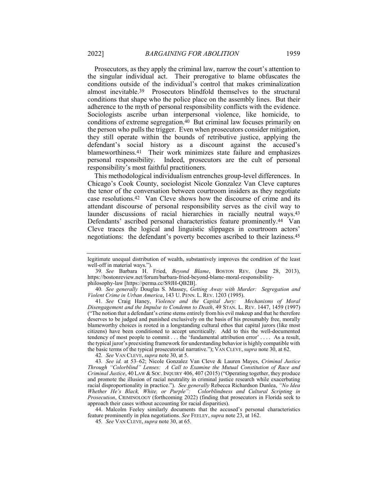Prosecutors, as they apply the criminal law, narrow the court's attention to the singular individual act. Their prerogative to blame obfuscates the conditions outside of the individual's control that makes criminalization almost inevitable.39 Prosecutors blindfold themselves to the structural conditions that shape who the police place on the assembly lines. But their adherence to the myth of personal responsibility conflicts with the evidence. Sociologists ascribe urban interpersonal violence, like homicide, to conditions of extreme segregation.<sup>40</sup> But criminal law focuses primarily on the person who pulls the trigger. Even when prosecutors consider mitigation, they still operate within the bounds of retributive justice, applying the defendant's social history as a discount against the accused's blameworthiness.41 Their work minimizes state failure and emphasizes personal responsibility. Indeed, prosecutors are the cult of personal responsibility's most faithful practitioners.

This methodological individualism entrenches group-level differences. In Chicago's Cook County, sociologist Nicole Gonzalez Van Cleve captures the tenor of the conversation between courtroom insiders as they negotiate case resolutions.42 Van Cleve shows how the discourse of crime and its attendant discourse of personal responsibility serves as the civil way to launder discussions of racial hierarchies in racially neutral ways.43 Defendants' ascribed personal characteristics feature prominently.44 Van Cleve traces the logical and linguistic slippages in courtroom actors' negotiations: the defendant's poverty becomes ascribed to their laziness.45

40*. See generally* Douglas S. Massey, *Getting Away with Murder: Segregation and Violent Crime in Urban America*, 143 U. PENN. L. REV. 1203 (1995).

41*. See* Craig Haney, *Violence and the Capital Jury: Mechanisms of Moral Disengagement and the Impulse to Condemn to Death*, 49 STAN. L. REV. 1447, 1459 (1997) ("The notion that a defendant's crime stems entirely from his evil makeup and that he therefore deserves to be judged and punished exclusively on the basis of his presumably free, morally blameworthy choices is rooted in a longstanding cultural ethos that capital jurors (like most citizens) have been conditioned to accept uncritically. Add to this the well-documented tendency of most people to commit . . . the 'fundamental attribution error' . . . . As a result, the typical juror's preexisting framework for understanding behavior is highly compatible with the basic terms of the typical prosecutorial narrative."); VAN CLEVE, *supra* note 30, at 62.

42*. See* VAN CLEVE, *supra* note 30, at 5.

43*. See id.* at 53–62; Nicole Gonzalez Van Cleve & Lauren Mayes, *Criminal Justice Through "Colorblind" Lenses: A Call to Examine the Mutual Constitution of Race and Criminal Justice*, 40 LAW & Soc. INQUIRY 406, 407 (2015) ("Operating together, they produce and promote the illusion of racial neutrality in criminal justice research while exacerbating racial disproportionality in practice."). *See generally* Rebecca Richardson Dunlea, *"No Idea Whether He's Black, White, or Purple": Colorblindness and Cultural Scripting in Prosecution*, CRIMINOLOGY (forthcoming 2022) (finding that prosecutors in Florida seek to approach their cases without accounting for racial disparities).

44. Malcolm Feeley similarly documents that the accused's personal characteristics feature prominently in plea negotiations. *See* FEELEY, *supra* note 23, at 162.

45*. See* VAN CLEVE, *supra* note 30, at 65.

legitimate unequal distribution of wealth, substantively improves the condition of the least well-off in material ways.").

<sup>39</sup>*. See* Barbara H. Fried, *Beyond Blame*, BOSTON REV. (June 28, 2013), https://bostonreview.net/forum/barbara-fried-beyond-blame-moral-responsibilityphilosophy-law [https://perma.cc/S9JH-QB2B].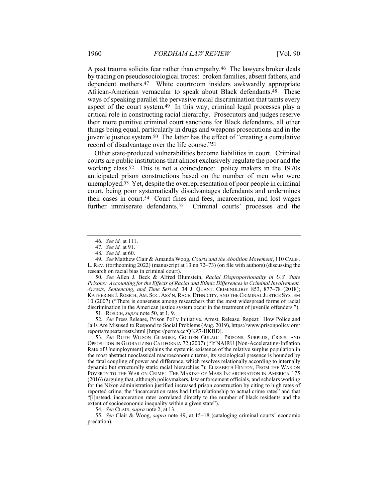A past trauma solicits fear rather than empathy.46 The lawyers broker deals by trading on pseudosociological tropes: broken families, absent fathers, and dependent mothers.47 White courtroom insiders awkwardly appropriate African-American vernacular to speak about Black defendants.48 These ways of speaking parallel the pervasive racial discrimination that taints every aspect of the court system.49 In this way, criminal legal processes play a critical role in constructing racial hierarchy. Prosecutors and judges reserve their more punitive criminal court sanctions for Black defendants, all other things being equal, particularly in drugs and weapons prosecutions and in the juvenile justice system.50 The latter has the effect of "creating a cumulative record of disadvantage over the life course."51

Other state-produced vulnerabilities become liabilities in court. Criminal courts are public institutions that almost exclusively regulate the poor and the working class.52 This is not a coincidence: policy makers in the 1970s anticipated prison constructions based on the number of men who were unemployed.53 Yet, despite the overrepresentation of poor people in criminal court, being poor systematically disadvantages defendants and undermines their cases in court.54 Court fines and fees, incarceration, and lost wages further immiserate defendants.55 Criminal courts' processes and the

50*. See* Allen J. Beck & Alfred Blumstein, *Racial Disproportionality in U.S. State Prisons: Accounting for the Effects of Racial and Ethnic Differences in Criminal Involvement, Arrests, Sentencing, and Time Served,* 34 J. QUANT. CRIMINOLOGY 853, 877–78 (2018); KATHERINE J. ROSICH, AM. SOC. ASS'N, RACE, ETHNICITY, AND THE CRIMINAL JUSTICE SYSTEM 10 (2007) ("There is consensus among researchers that the most widespread forms of racial discrimination in the American justice system occur in the treatment of juvenile offenders.").

51. ROSICH, *supra* note 50, at 1, 9.

52*. See* Press Release, Prison Pol'y Initiative, Arrest, Release, Repeat: How Police and Jails Are Misused to Respond to Social Problems (Aug. 2019), https://www.prisonpolicy.org/ reports/repeatarrests.html [https://perma.cc/QKZ7-HKBD].

53*. See* RUTH WILSON GILMORE, GOLDEN GULAG: PRISONS, SURPLUS, CRISIS, AND OPPOSITION IN GLOBALIZING CALIFORNIA 72 (2007) ("If NAIRU [Non-Accelerating-Inflation Rate of Unemployment] explains the systemic existence of the relative surplus population in the most abstract neoclassical macroeconomic terms, its sociological presence is bounded by the fatal coupling of power and difference, which resolves relationally according to internally dynamic but structurally static racial hierarchies."); ELIZABETH HINTON, FROM THE WAR ON POVERTY TO THE WAR ON CRIME: THE MAKING OF MASS INCARCERATION IN AMERICA 175 (2016) (arguing that, although policymakers, law enforcement officials, and scholars working for the Nixon administration justified increased prison construction by citing to high rates of reported crime, the "incarceration rates had little relationship to actual crime rates" and that "[i]nstead, incarceration rates correlated directly to the number of black residents and the extent of socioeconomic inequality within a given state").

54*. See* CLAIR, *supra* note 2, at 13.

55*. See* Clair & Woog, *supra* note 49, at 15–18 (cataloging criminal courts' economic predation).

<sup>46</sup>*. See id.* at 111.

<sup>47</sup>*. See id.* at 91.

<sup>48</sup>*. See id.* at 60.

<sup>49</sup>*. See* Matthew Clair & Amanda Woog, *Courts and the Abolition Movement*, 110 CALIF. L. REV. (forthcoming 2022) (manuscript at 13 nn.72–73) (on file with authors) (discussing the research on racial bias in criminal court).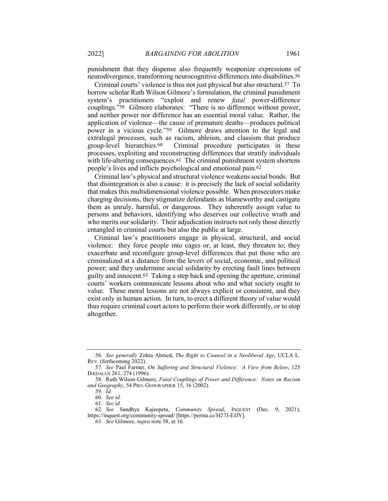punishment that they dispense also frequently weaponize expressions of neurodivergence, transforming neurocognitive differences into disabilities.56

Criminal courts' violence is thus not just physical but also structural.57 To borrow scholar Ruth Wilson Gilmore's formulation, the criminal punishment system's practitioners "exploit and renew *fatal* power-difference couplings."58 Gilmore elaborates: "There is no difference without power, and neither power nor difference has an essential moral value. Rather, the application of violence—the cause of premature deaths—produces political power in a vicious cycle."59 Gilmore draws attention to the legal and extralegal processes, such as racism, ableism, and classism that produce group-level hierarchies.<sup>60</sup> Criminal procedure participates in these Criminal procedure participates in these processes, exploiting and reconstructing differences that stratify individuals with life-altering consequences.<sup>61</sup> The criminal punishment system shortens people's lives and inflicts psychological and emotional pain.62

Criminal law's physical and structural violence weakens social bonds. But that disintegration is also a cause: it is precisely the lack of social solidarity that makes this multidimensional violence possible. When prosecutors make charging decisions, they stigmatize defendants as blameworthy and castigate them as unruly, harmful, or dangerous. They inherently assign value to persons and behaviors, identifying who deserves our collective wrath and who merits our solidarity. Their adjudication instructs not only those directly entangled in criminal courts but also the public at large.

Criminal law's practitioners engage in physical, structural, and social violence: they force people into cages or, at least, they threaten to; they exacerbate and reconfigure group-level differences that put those who are criminalized at a distance from the levers of social, economic, and political power; and they undermine social solidarity by erecting fault lines between guilty and innocent.63 Taking a step back and opening the aperture, criminal courts' workers communicate lessons about who and what society ought to value. These moral lessons are not always explicit or consistent, and they exist only in human action. In turn, to erect a different theory of value would thus require criminal court actors to perform their work differently, or to stop altogether.

<sup>56</sup>*. See generally* Zohra Ahmed, *The Right to Counsel in a Neoliberal Age*, UCLA L. REV. (forthcoming 2022).

<sup>57</sup>*. See* Paul Farmer, *On Suffering and Structural Violence: A View from Below*, 125 DÆDALUS 261, 274 (1996).

<sup>58.</sup> Ruth Wilson Gilmore, *Fatal Couplings of Power and Difference: Notes on Racism and Geography*, 54 PRO. GEOGRAPHER 15, 16 (2002)*.*

<sup>59</sup>*. Id.*

<sup>60</sup>*. See id.*

<sup>61</sup>*. See id.*

<sup>62</sup>*. See* Sandhya Kajeepeta, *Community Spread*, INQUEST (Dec. 9, 2021), https://inquest.org/community-spread/ [https://perma.cc/H27J-EJJY].

<sup>63</sup>*. See* Gilmore, *supra* note 58, at 16.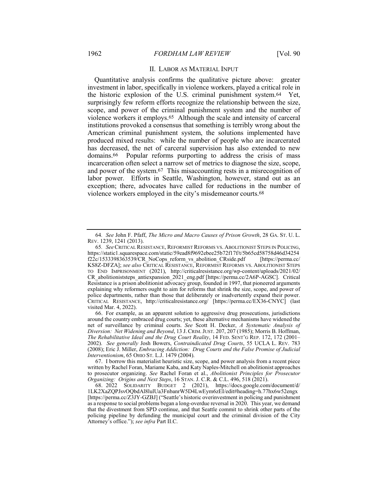## II. LABOR AS MATERIAL INPUT

Quantitative analysis confirms the qualitative picture above: greater investment in labor, specifically in violence workers, played a critical role in the historic explosion of the U.S. criminal punishment system.64 Yet, surprisingly few reform efforts recognize the relationship between the size, scope, and power of the criminal punishment system and the number of violence workers it employs.65 Although the scale and intensity of carceral institutions provoked a consensus that something is terribly wrong about the American criminal punishment system, the solutions implemented have produced mixed results: while the number of people who are incarcerated has decreased, the net of carceral supervision has also extended to new domains.66 Popular reforms purporting to address the crisis of mass incarceration often select a narrow set of metrics to diagnose the size, scope, and power of the system.67 This misaccounting rests in a misrecognition of labor power. Efforts in Seattle, Washington, however, stand out as an exception; there, advocates have called for reductions in the number of violence workers employed in the city's misdemeanor courts.68

<sup>64</sup>*. See* John F. Pfaff, *The Micro and Macro Causes of Prison Growth*, 28 GA. ST. U. L. REV. 1239, 1241 (2013).

<sup>65</sup>*. See* CRITICAL RESISTANCE, REFORMIST REFORMS VS. ABOLITIONIST STEPS IN POLICING, https://static1.squarespace.com/static/59ead8f9692ebee25b72f17f/t/5b65cd58758d46d34254<br>f22c/1533398363539/CR NoCops reform vs abolition CRside.pdf [https://perma.cc/  $f22c/1533398363539/CR$  NoCops reform vs abolition CRside.pdf KS8Z-DFZA]; *see also* CRITICAL RESISTANCE, REFORMIST REFORMS VS. ABOLITIONIST STEPS TO END IMPRISONMENT (2021), http://criticalresistance.org/wp-content/uploads/2021/02/ CR abolitioniststeps antiexpansion 2021 eng.pdf [https://perma.cc/2A6P-AGSC]. Critical Resistance is a prison abolitionist advocacy group, founded in 1997, that pioneered arguments explaining why reformers ought to aim for reforms that shrink the size, scope, and power of police departments, rather than those that deliberately or inadvertently expand their power. CRITICAL RESISTANCE, http://criticalresistance.org/ [https://perma.cc/EX36-CNYC] (last visited Mar. 4, 2022).

<sup>66.</sup> For example, as an apparent solution to aggressive drug prosecutions, jurisdictions around the country embraced drug courts; yet, these alternative mechanisms have widened the net of surveillance by criminal courts. *See* Scott H. Decker, *A Systematic Analysis of Diversion: Net Widening and Beyond*, 13 J. CRIM.JUST. 207, 207 (1985); Morris B. Hoffman, *The Rehabilitative Ideal and the Drug Court Reality*, 14 FED. SENT'G REP. 172, 172 (2001– 2002). *See generally* Josh Bowers, *Contraindicated Drug Courts*, 55 UCLA L. REV. 783 (2008); Eric J. Miller, *Embracing Addiction: Drug Courts and the False Promise of Judicial Interventionism*, 65 OHIO ST. L.J. 1479 (2004).

<sup>67.</sup> I borrow this materialist heuristic size, scope, and power analysis from a recent piece written by Rachel Foran, Mariame Kaba, and Katy Naples-Mitchell on abolitionist approaches to prosecutor organizing. *See* Rachel Foran et al., *Abolitionist Principles for Prosecutor Organizing: Origins and Next Steps*, 16 STAN. J. C.R. & C.L. 496, 518 (2021).

<sup>68.</sup> 2022 SOLIDARITY BUDGET 2 (2021), https://docs.google.com/document/d/ 1LK2XaZQPJsvOQbdAl8lulUa3FnbanrW5D4LwEym6zEI/edit#heading=h.77hx6w52engx [https://perma.cc/Z3JY-GZBJ] ("Seattle's historic overinvestment in policing and punishment as a response to social problems began a long-overdue reversal in 2020. This year, we demand that the divestment from SPD continue, and that Seattle commit to shrink other parts of the policing pipeline by defunding the municipal court and the criminal division of the City Attorney's office."); *see infra* Part II.C.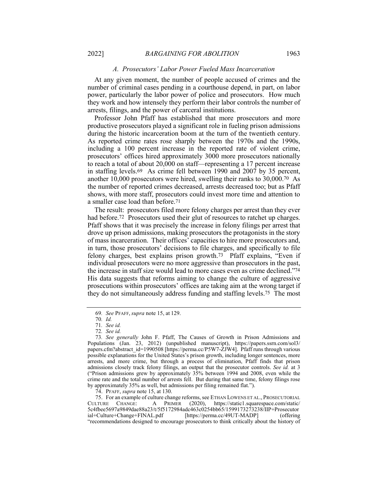#### *A. Prosecutors' Labor Power Fueled Mass Incarceration*

At any given moment, the number of people accused of crimes and the number of criminal cases pending in a courthouse depend, in part, on labor power, particularly the labor power of police and prosecutors. How much they work and how intensely they perform their labor controls the number of arrests, filings, and the power of carceral institutions.

Professor John Pfaff has established that more prosecutors and more productive prosecutors played a significant role in fueling prison admissions during the historic incarceration boom at the turn of the twentieth century. As reported crime rates rose sharply between the 1970s and the 1990s, including a 100 percent increase in the reported rate of violent crime, prosecutors' offices hired approximately 3000 more prosecutors nationally to reach a total of about 20,000 on staff—representing a 17 percent increase in staffing levels.69 As crime fell between 1990 and 2007 by 35 percent, another 10,000 prosecutors were hired, swelling their ranks to 30,000.70 As the number of reported crimes decreased, arrests decreased too; but as Pfaff shows, with more staff, prosecutors could invest more time and attention to a smaller case load than before.71

The result: prosecutors filed more felony charges per arrest than they ever had before.<sup>72</sup> Prosecutors used their glut of resources to ratchet up charges. Pfaff shows that it was precisely the increase in felony filings per arrest that drove up prison admissions, making prosecutors the protagonists in the story of mass incarceration. Their offices' capacities to hire more prosecutors and, in turn, those prosecutors' decisions to file charges, and specifically to file felony charges, best explains prison growth.73 Pfaff explains, "Even if individual prosecutors were no more aggressive than prosecutors in the past, the increase in staff size would lead to more cases even as crime declined."74 His data suggests that reforms aiming to change the culture of aggressive prosecutions within prosecutors' offices are taking aim at the wrong target if they do not simultaneously address funding and staffing levels.75 The most

<sup>69</sup>*. See* PFAFF, *supra* note 15, at 129.

<sup>70</sup>*. Id.*

<sup>71</sup>*. See id.*

<sup>72</sup>*. See id.*

<sup>73</sup>*. See generally* John F. Pfaff, The Causes of Growth in Prison Admissions and Populations (Jan. 23, 2012) (unpublished manuscript), https://papers.ssrn.com/sol3/ papers.cfm?abstract\_id=1990508 [https://perma.cc/P5W7-ZJW4]. Pfaff runs through various possible explanations for the United States's prison growth, including longer sentences, more arrests, and more crime, but through a process of elimination, Pfaff finds that prison admissions closely track felony filings, an output that the prosecutor controls. *See id.* at 3 ("Prison admissions grew by approximately 35% between 1994 and 2008, even while the crime rate and the total number of arrests fell. But during that same time, felony filings rose by approximately 35% as well, but admissions per filing remained flat.").

<sup>74.</sup> PFAFF, *supra* note 15, at 130.

<sup>75.</sup> For an example of culture change reforms, see ETHAN LOWENS ET AL., PROSECUTORIAL CULTURE CHANGE: A PRIMER (2020), https://staticl.squarespace.com/static/ (2020), https://static1.squarespace.com/static/ 5c4fbee5697a9849dae88a23/t/5f5172984adc463c0254bb65/1599173273238/IIP+Prosecutor ial+Culture+Change+FINAL.pdf [https://perma.cc/49UT-MADP] (offering "recommendations designed to encourage prosecutors to think critically about the history of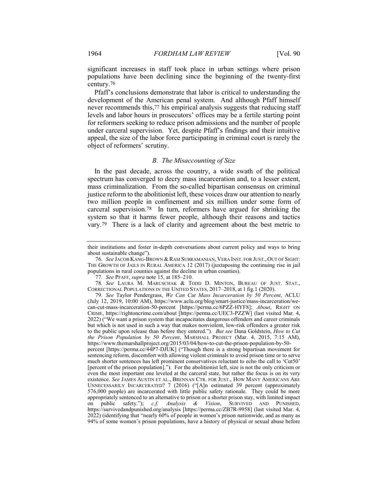significant increases in staff took place in urban settings where prison populations have been declining since the beginning of the twenty-first century.76

Pfaff's conclusions demonstrate that labor is critical to understanding the development of the American penal system. And although Pfaff himself never recommends this,77 his empirical analysis suggests that reducing staff levels and labor hours in prosecutors' offices may be a fertile starting point for reformers seeking to reduce prison admissions and the number of people under carceral supervision. Yet, despite Pfaff's findings and their intuitive appeal, the size of the labor force participating in criminal court is rarely the object of reformers' scrutiny.

#### *B. The Misaccounting of Size*

In the past decade, across the country, a wide swath of the political spectrum has converged to decry mass incarceration and, to a lesser extent, mass criminalization. From the so-called bipartisan consensus on criminal justice reform to the abolitionist left, these voices draw our attention to nearly two million people in confinement and six million under some form of carceral supervision.78 In turn, reformers have argued for shrinking the system so that it harms fewer people, although their reasons and tactics vary.79 There is a lack of clarity and agreement about the best metric to

their institutions and foster in-depth conversations about current policy and ways to bring about sustainable change").

<sup>76</sup>*. See* JACOB KANG-BROWN &RAM SUBRAMANIAN, VERA INST. FOR JUST., OUT OF SIGHT: THE GROWTH OF JAILS IN RURAL AMERICA 12 (2017) (juxtaposing the continuing rise in jail populations in rural counties against the decline in urban counties).

<sup>77</sup>*. See* PFAFF, *supra* note 15, at 185–210.

<sup>78</sup>*. See* LAURA M. MARUSCHAK & TODD D. MINTON, BUREAU OF JUST. STAT., CORRECTIONAL POPULATIONS IN THE UNITED STATES, 2017–2018, at 1 fig.1 (2020).

<sup>79</sup>*. See* Taylor Pendergrass, *We Can Cut Mass Incarceration by 50 Percent*, ACLU (July 12, 2019, 10:00 AM), https://www.aclu.org/blog/smart-justice/mass-incarceration/wecan-cut-mass-incarceration-50-percent [https://perma.cc/6PZZ-HYF8]; *About*, RIGHT ON CRIME, https://rightoncrime.com/about [https://perma.cc/UEC3-PZZW] (last visited Mar. 4, 2022) ("We want a prison system that incapacitates dangerous offenders and career criminals but which is not used in such a way that makes nonviolent, low-risk offenders a greater risk to the public upon release than before they entered."). *But see* Dana Goldstein, *How to Cut the Prison Population by 50 Percent*, MARSHALL PROJECT (Mar. 4, 2015, 7:15 AM), https://www.themarshallproject.org/2015/03/04/how-to-cut-the-prison-population-by-50 percent [https://perma.cc/44P7-DJUK] ("Though there is a strong bipartisan movement for sentencing reform, discomfort with allowing violent criminals to avoid prison time or to serve much shorter sentences has left prominent conservatives reluctant to echo the call to 'Cut50' [percent of the prison population]."). For the abolitionist left, size is not the only criticism or even the most important one leveled at the carceral state, but rather the focus is on its very existence. *See* JAMES AUSTIN ET AL., BRENNAN CTR. FOR JUST., HOW MANY AMERICANS ARE UNNECESSARILY INCARCERATED? 7 (2016) ("[A]n estimated 39 percent (approximately 576,000 people) are incarcerated with little public safety rationale. They could be more appropriately sentenced to an alternative to prison or a shorter prison stay, with limited impact on public safety."); *c.f. Analysis & Vision*, SURVIVED AND PUNISHED, https://survivedandpunished.org/analysis [https://perma.cc/ZB7R-9958] (last visited Mar. 4, 2022) (identifying that "nearly 60% of people in women's prison nationwide, and as many as 94% of some women's prison populations, have a history of physical or sexual abuse before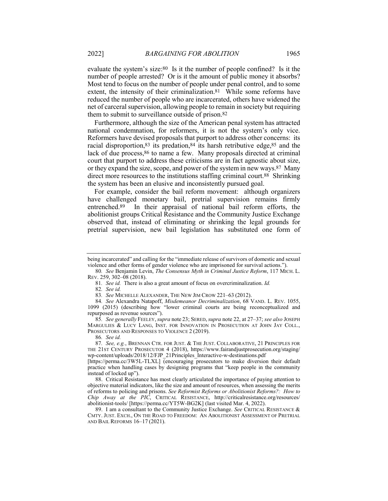evaluate the system's size:80 Is it the number of people confined? Is it the number of people arrested? Or is it the amount of public money it absorbs? Most tend to focus on the number of people under penal control, and to some extent, the intensity of their criminalization.81 While some reforms have reduced the number of people who are incarcerated, others have widened the net of carceral supervision, allowing people to remain in society but requiring them to submit to surveillance outside of prison.82

Furthermore, although the size of the American penal system has attracted national condemnation, for reformers, it is not the system's only vice. Reformers have devised proposals that purport to address other concerns: its racial disproportion,83 its predation,84 its harsh retributive edge,85 and the lack of due process, 86 to name a few. Many proposals directed at criminal court that purport to address these criticisms are in fact agnostic about size, or they expand the size, scope, and power of the system in new ways.87 Many direct more resources to the institutions staffing criminal court.88 Shrinking the system has been an elusive and inconsistently pursued goal.

For example, consider the bail reform movement: although organizers have challenged monetary bail, pretrial supervision remains firmly entrenched.89 In their appraisal of national bail reform efforts, the abolitionist groups Critical Resistance and the Community Justice Exchange observed that, instead of eliminating or shrinking the legal grounds for pretrial supervision, new bail legislation has substituted one form of

85*. See generally* FEELEY,*supra* note 23; SERED,*supra* note 22, at 27–37; *see also* JOSEPH MARGULIES & LUCY LANG, INST. FOR INNOVATION IN PROSECUTION AT JOHN JAY COLL., PROSECUTORS AND RESPONSES TO VIOLENCE 2 (2019).

86*. See id.*

being incarcerated" and calling for the "immediate release of survivors of domestic and sexual violence and other forms of gender violence who are imprisoned for survival actions.").

<sup>80</sup>*. See* Benjamin Levin, *The Consensus Myth in Criminal Justice Reform*, 117 MICH. L. REV. 259, 302–08 (2018).

<sup>81</sup>*. See id.* There is also a great amount of focus on overcriminalization. *Id.*

<sup>82</sup>*. See id.*

<sup>83</sup>*. See* MICHELLE ALEXANDER, THE NEW JIM CROW 221–63 (2012).

<sup>84</sup>*. See* Alexandra Natapoff, *Misdemeanor Decriminalization*, 68 VAND. L. REV. 1055, 1099 (2015) (describing how "lower criminal courts are being reconceptualized and repurposed as revenue sources").

<sup>87</sup>*. See, e.g.*, BRENNAN CTR. FOR JUST. & THE JUST. COLLABORATIVE, 21 PRINCIPLES FOR THE 21ST CENTURY PROSECUTOR 4 (2018), https://www.fairandjustprosecution.org/staging/ wp-content/uploads/2018/12/FJP\_21Principles\_Interactive-w-destinations.pdf

<sup>[</sup>https://perma.cc/3W5L-TLXL] (encouraging prosecutors to make diversion their default practice when handling cases by designing programs that "keep people in the community instead of locked up").

<sup>88.</sup> Critical Resistance has most clearly articulated the importance of paying attention to objective material indicators, like the size and amount of resources, when assessing the merits of reforms to policing and prisons. *See Reformist Reforms or Abolitionist Reforms?: How to Chip Away at the PIC*, CRITICAL RESISTANCE, http://criticalresistance.org/resources/ abolitionist-tools/ [https://perma.cc/YT5W-BG2K] (last visited Mar. 4, 2022).

<sup>89.</sup> I am a consultant to the Community Justice Exchange. *See* CRITICAL RESISTANCE & CMTY. JUST. EXCH., ON THE ROAD TO FREEDOM: AN ABOLITIONIST ASSESSMENT OF PRETRIAL AND BAIL REFORMS 16–17 (2021).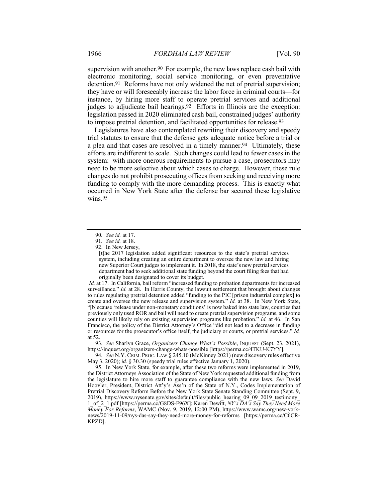supervision with another.<sup>90</sup> For example, the new laws replace cash bail with electronic monitoring, social service monitoring, or even preventative detention.91 Reforms have not only widened the net of pretrial supervision; they have or will foreseeably increase the labor force in criminal courts—for instance, by hiring more staff to operate pretrial services and additional judges to adjudicate bail hearings.<sup>92</sup> Efforts in Illinois are the exception: legislation passed in 2020 eliminated cash bail, constrained judges' authority to impose pretrial detention, and facilitated opportunities for release.93

Legislatures have also contemplated rewriting their discovery and speedy trial statutes to ensure that the defense gets adequate notice before a trial or a plea and that cases are resolved in a timely manner.94 Ultimately, these efforts are indifferent to scale. Such changes could lead to fewer cases in the system: with more onerous requirements to pursue a case, prosecutors may need to be more selective about which cases to charge. However, these rule changes do not prohibit prosecuting offices from seeking and receiving more funding to comply with the more demanding process. This is exactly what occurred in New York State after the defense bar secured these legislative wins.95

*Id.* at 17. In California, bail reform "increased funding to probation departments for increased surveillance." *Id.* at 28. In Harris County, the lawsuit settlement that brought about changes to rules regulating pretrial detention added "funding to the PIC [prison industrial complex] to create and oversee the new release and supervision system." *Id.* at 38. In New York State, "[b]ecause 'release under non-monetary conditions' is now baked into state law, counties that previously only used ROR and bail will need to create pretrial supervision programs, and some counties will likely rely on existing supervision programs like probation." *Id.* at 46. In San Francisco, the policy of the District Attorney's Office "did not lead to a decrease in funding or resources for the prosecutor's office itself, the judiciary or courts, or pretrial services." *Id.* at 52.

93*. See* Sharlyn Grace, *Organizers Change What's Possible*, INQUEST (Sept. 23, 2021), https://inquest.org/organizers-change-whats-possible [https://perma.cc/4TKU-K7YY].

94*. See* N.Y. CRIM. PROC. LAW § 245.10 (McKinney 2021) (new discovery rules effective May 3, 2020); *id.* § 30.30 (speedy trial rules effective January 1, 2020).

95. In New York State, for example, after these two reforms were implemented in 2019, the District Attorneys Association of the State of New York requested additional funding from the legislature to hire more staff to guarantee compliance with the new laws. *See* David Hoovler, President, District Att'y's Ass'n of the State of N.Y., Codes Implementation of Pretrial Discovery Reform Before the New York State Senate Standing Committee (Sept. 9, 2019), https://www.nysenate.gov/sites/default/files/public\_hearing\_09\_09\_2019\_testimony 1\_of\_2\_1.pdf [https://perma.cc/G8DS-F96X]; Karen Dewitt, *NY's DA's Say They Need More Money For Reforms*, WAMC (Nov. 9, 2019, 12:00 PM), https://www.wamc.org/new-yorknews/2019-11-09/nys-das-say-they-need-more-money-for-reforms [https://perma.cc/C6CR-KPZD].

<sup>90</sup>*. See id.* at 17.

<sup>91</sup>*. See id.* at 18.

<sup>92.</sup> In New Jersey,

<sup>[</sup>t]he 2017 legislation added significant resources to the state's pretrial services system, including creating an entire department to oversee the new law and hiring new Superior Court judges to implement it. In 2018, the state's new pretrial services department had to seek additional state funding beyond the court filing fees that had originally been designated to cover its budget.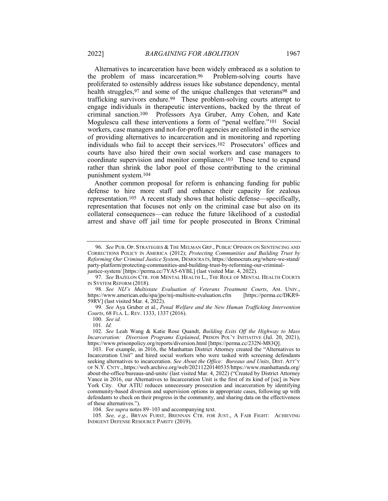Alternatives to incarceration have been widely embraced as a solution to problem of mass incarceration.<sup>96</sup> Problem-solving courts have the problem of mass incarceration.96 proliferated to ostensibly address issues like substance dependency, mental health struggles, 97 and some of the unique challenges that veterans 98 and trafficking survivors endure.99 These problem-solving courts attempt to engage individuals in therapeutic interventions, backed by the threat of criminal sanction.100 Professors Aya Gruber, Amy Cohen, and Kate Mogulescu call these interventions a form of "penal welfare."101 Social workers, case managers and not-for-profit agencies are enlisted in the service of providing alternatives to incarceration and in monitoring and reporting individuals who fail to accept their services.102 Prosecutors' offices and courts have also hired their own social workers and case managers to coordinate supervision and monitor compliance.103 These tend to expand rather than shrink the labor pool of those contributing to the criminal punishment system.104

Another common proposal for reform is enhancing funding for public defense to hire more staff and enhance their capacity for zealous representation.105 A recent study shows that holistic defense—specifically, representation that focuses not only on the criminal case but also on its collateral consequences—can reduce the future likelihood of a custodial arrest and shave off jail time for people prosecuted in Bronx Criminal

<sup>96</sup>*. See* PUB. OP. STRATEGIES & THE MELMAN GRP., PUBLIC OPINION ON SENTENCING AND CORRECTIONS POLICY IN AMERICA (2012); *Protecting Communities and Building Trust by Reforming Our Criminal Justice System*, DEMOCRATS, https://democrats.org/where-we-stand/ party-platform/protecting-communities-and-building-trust-by-reforming-our-criminaljustice-system/ [https://perma.cc/7YA5-6YBL] (last visited Mar. 4, 2022).

<sup>97</sup>*. See* BAZELON CTR. FOR MENTAL HEALTH L., THE ROLE OF MENTAL HEALTH COURTS

IN SYSTEM REFORM (2018). 98*. See NIJ's Multistate Evaluation of Veterans Treatment Courts*, AM. UNIV., https://www.american.edu/spa/jpo/nij-multisite-evaluation.cfm 59RV] (last visited Mar. 4, 2022).

<sup>99</sup>*. See* Aya Gruber et al., *Penal Welfare and the New Human Trafficking Intervention Courts*, 68 FLA. L. REV. 1333, 1337 (2016).

<sup>100</sup>*. See id.*

<sup>101</sup>*. Id.*

<sup>102</sup>*. See* Leah Wang & Katie Rose Quandt, *Building Exits Off the Highway to Mass Incarceration: Diversion Programs Explained*, PRISON POL'Y INITIATIVE (Jul. 20, 2021), https://www.prisonpolicy.org/reports/diversion.html [https://perma.cc/232N-M83Q].

<sup>103.</sup> For example, in 2016, the Manhattan District Attorney created the "Alternatives to Incarceration Unit" and hired social workers who were tasked with screening defendants seeking alternatives to incarceration. *See About the Office: Bureaus and Units*, DIST. ATT'Y OF N.Y. CNTY., https://web.archive.org/web/20211220140535/https://www.manhattanda.org/ about-the-office/bureaus-and-units/ (last visited Mar. 4, 2022) ("Created by District Attorney Vance in 2016, our Alternatives to Incarceration Unit is the first of its kind of [sic] in New York City. Our ATIU reduces unnecessary prosecution and incarceration by identifying community-based diversion and supervision options in appropriate cases, following up with defendants to check on their progress in the community, and sharing data on the effectiveness of these alternatives.").

<sup>104.</sup> *See supra* notes 89–103 and accompanying text.

<sup>105</sup>*. See, e.g.*, BRYAN FURST, BRENNAN CTR. FOR JUST., A FAIR FIGHT: ACHIEVING INDIGENT DEFENSE RESOURCE PARITY (2019).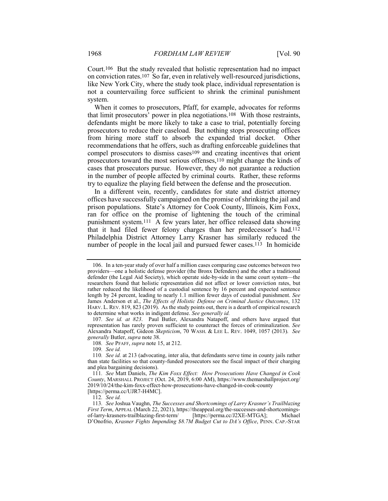Court.106 But the study revealed that holistic representation had no impact on conviction rates.107 So far, even in relatively well-resourced jurisdictions, like New York City, where the study took place, individual representation is not a countervailing force sufficient to shrink the criminal punishment system.

When it comes to prosecutors, Pfaff, for example, advocates for reforms that limit prosecutors' power in plea negotiations.108 With those restraints, defendants might be more likely to take a case to trial, potentially forcing prosecutors to reduce their caseload. But nothing stops prosecuting offices from hiring more staff to absorb the expanded trial docket. Other recommendations that he offers, such as drafting enforceable guidelines that compel prosecutors to dismiss cases<sup>109</sup> and creating incentives that orient prosecutors toward the most serious offenses,110 might change the kinds of cases that prosecutors pursue. However, they do not guarantee a reduction in the number of people affected by criminal courts. Rather, these reforms try to equalize the playing field between the defense and the prosecution.

In a different vein, recently, candidates for state and district attorney offices have successfully campaigned on the promise of shrinking the jail and prison populations. State's Attorney for Cook County, Illinois, Kim Foxx, ran for office on the promise of lightening the touch of the criminal punishment system.111 A few years later, her office released data showing that it had filed fewer felony charges than her predecessor's had.112 Philadelphia District Attorney Larry Krasner has similarly reduced the number of people in the local jail and pursued fewer cases.<sup>113</sup> In homicide

108*. See* PFAFF, *supra* note 15, at 212.

109*. See id.*

112*. See id.*

<sup>106.</sup> In a ten-year study of over half a million cases comparing case outcomes between two providers—one a holistic defense provider (the Bronx Defenders) and the other a traditional defender (the Legal Aid Society), which operate side-by-side in the same court system—the researchers found that holistic representation did not affect or lower conviction rates, but rather reduced the likelihood of a custodial sentence by 16 percent and expected sentence length by 24 percent, leading to nearly 1.1 million fewer days of custodial punishment. *See* James Anderson et al., *The Effects of Holistic Defense on Criminal Justice Outcomes*, 132 HARV. L. REV. 819, 823 (2019). As the study points out, there is a dearth of empirical research to determine what works in indigent defense. *See generally id.*

<sup>107</sup>*. See id. at 823*. Paul Butler, Alexandra Natapoff, and others have argued that representation has rarely proven sufficient to counteract the forces of criminalization. *See* Alexandra Natapoff, Gideon *Skepticism*, 70 WASH. & LEE L. REV. 1049, 1057 (2013). *See generally* Butler, *supra* note 38.

<sup>110</sup>*. See id.* at 213 (advocating, inter alia, that defendants serve time in county jails rather than state facilities so that county-funded prosecutors see the fiscal impact of their charging and plea bargaining decisions).

<sup>111</sup>*. See* Matt Daniels, *The Kim Foxx Effect: How Prosecutions Have Changed in Cook County*, MARSHALL PROJECT (Oct. 24, 2019, 6:00 AM), https://www.themarshallproject.org/ 2019/10/24/the-kim-foxx-effect-how-prosecutions-have-changed-in-cook-county [https://perma.cc/UJR7-H4MC].

<sup>113</sup>*. See* Joshua Vaughn, *The Successes and Shortcomings of Larry Krasner's Trailblazing First Term*, APPEAL (March 22, 2021), https://theappeal.org/the-successes-and-shortcomingsof-larry-krasners-trailblazing-first-term/ [https://perma.cc/J2XE-MTGA]; Michael D'Onofrio, *Krasner Fights Impending \$8.7M Budget Cut to DA's Office*, PENN. CAP.-STAR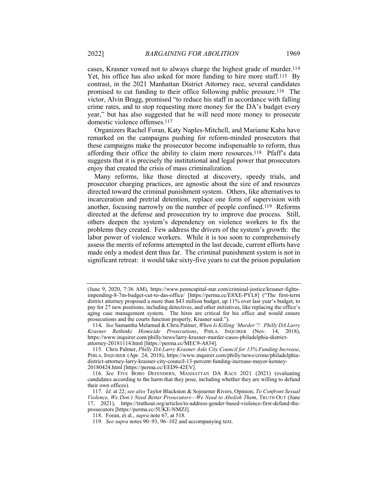cases, Krasner vowed not to always charge the highest grade of murder.114 Yet, his office has also asked for more funding to hire more staff.115 By contrast, in the 2021 Manhattan District Attorney race, several candidates promised to cut funding to their office following public pressure.116 The victor, Alvin Bragg, promised "to reduce his staff in accordance with falling crime rates, and to stop requesting more money for the DA's budget every year," but has also suggested that he will need more money to prosecute domestic violence offenses.117

Organizers Rachel Foran, Katy Naples-Mitchell, and Mariame Kaba have remarked on the campaigns pushing for reform-minded prosecutors that these campaigns make the prosecutor become indispensable to reform, thus affording their office the ability to claim more resources.118 Pfaff's data suggests that it is precisely the institutional and legal power that prosecutors enjoy that created the crisis of mass criminalization*.*

Many reforms, like those directed at discovery, speedy trials, and prosecutor charging practices, are agnostic about the size of and resources directed toward the criminal punishment system. Others, like alternatives to incarceration and pretrial detention, replace one form of supervision with another, focusing narrowly on the number of people confined.119 Reforms directed at the defense and prosecution try to improve due process. Still, others deepen the system's dependency on violence workers to fix the problems they created. Few address the drivers of the system's growth: the labor power of violence workers. While it is too soon to comprehensively assess the merits of reforms attempted in the last decade, current efforts have made only a modest dent thus far. The criminal punishment system is not in significant retreat: it would take sixty-five years to cut the prison population

<sup>(</sup>June 9, 2020, 7:36 AM), https://www.penncapital-star.com/criminal-justice/krasner-fightsimpending-8-7m-budget-cut-to-das-office/ [https://perma.cc/E8XE-PYL8] ("The first-term district attorney proposed a more than \$43 million budget, up 11% over last year's budget, to pay for 27 new positions, including detectives, and other initiatives, like replacing the office's aging case management system. The hires are critical for his office and would ensure prosecutions and the courts function properly, Krasner said.").

<sup>114</sup>*. See* Samantha Melamed & Chris Palmer, *When Is Killing 'Murder'?: Philly DA Larry Krasner Rethinks Homicide Prosecutions*, PHILA. INQUIRER (Nov. 14, 2018), https://www.inquirer.com/philly/news/larry-krasner-murder-cases-philadelphia-districtattorney-20181114.html [https://perma.cc/MEC9-A834].

<sup>115.</sup> Chris Palmer, *Philly DA Larry Krasner Asks City Council for 13% Funding Increase*, PHILA. INQUIRER (Apr. 24, 2018), https://www.inquirer.com/philly/news/crime/philadelphiadistrict-attorney-larry-krasner-city-council-13-percent-funding-increase-mayor-kenney-20180424.html [https://perma.cc/EED9-42EV].

<sup>116</sup>*. See* FIVE BORO DEFENDERS, MANHATTAN DA RACE 2021 (2021) (evaluating candidates according to the harm that they pose, including whether they are willing to defund their own offices).

<sup>117</sup>*. Id.* at 22; *see also* Taylor Blackston & Sojourner Rivers, Opinion, *To Confront Sexual Violence, We Don't Need Better Prosecutors—We Need to Abolish Them*, TRUTH OUT (June 17, 2021), https://truthout.org/articles/to-address-gender-based-violence-first-defund-theprosecutors [https://perma.cc/5UKE-NMZJ].

<sup>118.</sup> Foran, et al., *supra* note 67, at 518.

<sup>119</sup>*. See supra* notes 90–93, 96–102 and accompanying text.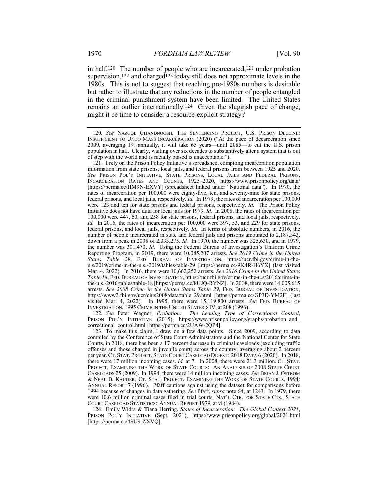in half.120 The number of people who are incarcerated,121 under probation supervision,<sup>122</sup> and charged<sup>123</sup> today still does not approximate levels in the 1980s. This is not to suggest that reaching pre-1980s numbers is desirable but rather to illustrate that any reductions in the number of people entangled in the criminal punishment system have been limited. The United States remains an outlier internationally.124 Given the sluggish pace of change, might it be time to consider a resource-explicit strategy?

121. I rely on the Prison Policy Initiative's spreadsheet compiling incarceration population information from state prisons, local jails, and federal prisons from between 1925 and 2020. *See* PRISON POL'Y INITIATIVE, STATE PRISONS, LOCAL JAILS AND FEDERAL PRISONS, INCARCERATION RATES AND COUNTS, 1925–2020, https://www.prisonpolicy.org/data/ [https://perma.cc/HM9N-EXVY] (spreadsheet linked under "National data"). In 1970, the rates of incarceration per 100,000 were eighty-five, ten, and seventy-nine for state prisons, federal prisons, and local jails, respectively. *Id.* In 1979, the rates of incarceration per 100,000 were 123 and ten for state prisons and federal prisons, respectively. *Id.* The Prison Policy Initiative does not have data for local jails for 1979. *Id.* In 2008, the rates of incarceration per 100,000 were 447, 60, and 258 for state prisons, federal prisons, and local jails, respectively. *Id.* In 2016, the rates of incarceration per 100,000 were 397, 53, and 229 for state prisons, federal prisons, and local jails, respectively. *Id.* In terms of absolute numbers, in 2016, the number of people incarcerated in state and federal jails and prisons amounted to 2,187,343, down from a peak in 2008 of 2,333,275. *Id.* In 1970, the number was 325,630, and in 1979, the number was 301,470. *Id.* Using the Federal Bureau of Investigation's Uniform Crime Reporting Program, in 2019, there were 10,085,207 arrests. *See 2019 Crime in the United States Table 29*, FED. BUREAU OF INVESTIGATION, https://ucr.fbi.gov/crime-in-theu.s/2019/crime-in-the-u.s.-2019/tables/table-29 [https://perma.cc/9K4R-H6YX] (last visited Mar. 4, 2022). In 2016, there were 10,662,252 arrests. *See 2016 Crime in the United States Table 18*, FED.BUREAU OF INVESTIGATION, https://ucr.fbi.gov/crime-in-the-u.s/2016/crime-inthe-u.s.-2016/tables/table-18 [https://perma.cc/8UJQ-RYNZ]. In 2008, there were 14,005,615 arrests. *See 2008 Crime in the United States Table 29*, FED. BUREAU OF INVESTIGATION, https://www2.fbi.gov/ucr/cius2008/data/table\_29.html [https://perma.cc/GP3D-YM2F] (last visited Mar. 4, 2022). In 1995, there were 15,119,800 arrests. *See* FED. BUREAU OF INVESTIGATION, 1995 CRIME IN THE UNITED STATES § IV, at 208 (1996).

122*. See* Peter Wagner, *Probation: The Leading Type of Correctional Control*, PRISON POL'Y INITIATIVE (2015), https://www.prisonpolicy.org/graphs/probation and correctional\_control.html [https://perma.cc/2UAW-2QP4].

123. To make this claim, I draw on a few data points. Since 2009, according to data compiled by the Conference of State Court Administrators and the National Center for State Courts, in 2018, there has been a 17 percent decrease in criminal caseloads (excluding traffic offenses and those charged in juvenile court) across the country, averaging about 2 percent per year. CT. STAT. PROJECT, STATE COURT CASELOAD DIGEST: 2018 DATA 6 (2020). In 2018, there were 17 million incoming cases. *Id.* at 7. In 2008, there were 21.3 million. CT. STAT. PROJECT, EXAMINING THE WORK OF STATE COURTS: AN ANALYSIS OF 2008 STATE COURT CASELOADS 25 (2009). In 1994, there were 14 million incoming cases. *See* BRIAN J. OSTROM & NEAL B. KAUDER, CT. STAT. PROJECT, EXAMINING THE WORK OF STATE COURTS, 1994: ANNUAL REPORT 7 (1996)*.* Pfaff cautions against using the dataset for comparisons before 1994 because of changes in data gathering. *See* Pfaff, *supra* note 64, at 1243. In 1979, there were 10.6 million criminal cases filed in trial courts. NAT'L CTR. FOR STATE CTS., STATE COURT CASELOAD STATISTICS: ANNUAL REPORT 1979, at vi (1984).

124. Emily Widra & Tiana Herring, *States of Incarceration: The Global Context 2021*, PRISON POL'Y INITIATIVE (Sept. 2021), https://www.prisonpolicy.org/global/2021.html [https://perma.cc/4SU9-ZXVQ].

<sup>120</sup>*. See* NAZGOL GHANDNOOSH, THE SENTENCING PROJECT, U.S. PRISON DECLINE: INSUFFICIENT TO UNDO MASS INCARCERATION (2020) ("At the pace of decarceration since 2009, averaging 1% annually, it will take 65 years—until 2085—to cut the U.S. prison population in half. Clearly, waiting over six decades to substantively alter a system that is out of step with the world and is racially biased is unacceptable.").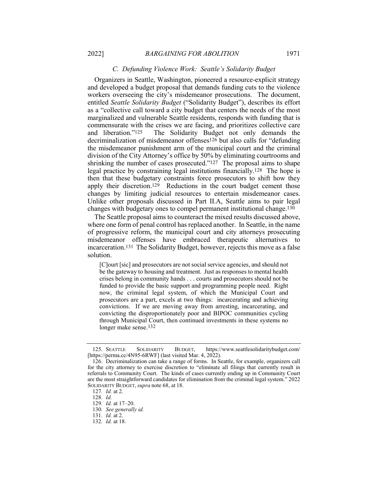#### *C. Defunding Violence Work: Seattle's Solidarity Budget*

Organizers in Seattle, Washington, pioneered a resource-explicit strategy and developed a budget proposal that demands funding cuts to the violence workers overseeing the city's misdemeanor prosecutions. The document, entitled *Seattle Solidarity Budget* ("Solidarity Budget"), describes its effort as a "collective call toward a city budget that centers the needs of the most marginalized and vulnerable Seattle residents, responds with funding that is commensurate with the crises we are facing, and prioritizes collective care<br>and liberation."<sup>125</sup> The Solidarity Budget not only demands the The Solidarity Budget not only demands the decriminalization of misdemeanor offenses126 but also calls for "defunding the misdemeanor punishment arm of the municipal court and the criminal division of the City Attorney's office by 50% by eliminating courtrooms and shrinking the number of cases prosecuted."<sup>127</sup> The proposal aims to shape legal practice by constraining legal institutions financially.128 The hope is then that these budgetary constraints force prosecutors to shift how they apply their discretion.<sup>129</sup> Reductions in the court budget cement those changes by limiting judicial resources to entertain misdemeanor cases. Unlike other proposals discussed in Part II.A, Seattle aims to pair legal changes with budgetary ones to compel permanent institutional change.130

The Seattle proposal aims to counteract the mixed results discussed above, where one form of penal control has replaced another. In Seattle, in the name of progressive reform, the municipal court and city attorneys prosecuting misdemeanor offenses have embraced therapeutic alternatives to incarceration.131 The Solidarity Budget, however, rejects this move as a false solution.

[C]ourt [sic] and prosecutors are not social service agencies, and should not be the gateway to housing and treatment. Just as responses to mental health crises belong in community hands . . . courts and prosecutors should not be funded to provide the basic support and programming people need. Right now, the criminal legal system, of which the Municipal Court and prosecutors are a part, excels at two things: incarcerating and achieving convictions. If we are moving away from arresting, incarcerating, and convicting the disproportionately poor and BIPOC communities cycling through Municipal Court, then continued investments in these systems no longer make sense.132

<sup>125.</sup> SEATTLE SOLIDARITY BUDGET, https://www.seattlesolidaritybudget.com/ [https://perma.cc/4N95-6RWF] (last visited Mar. 4, 2022).

<sup>126.</sup> Decriminalization can take a range of forms. In Seattle, for example, organizers call for the city attorney to exercise discretion to "eliminate all filings that currently result in referrals to Community Court. The kinds of cases currently ending up in Community Court are the most straightforward candidates for elimination from the criminal legal system." 2022 SOLIDARITY BUDGET, *supra* note 68, at 18.

<sup>127</sup>*. Id.* at 2.

<sup>128</sup>*. Id.*

<sup>129</sup>*. Id.* at 17–20.

<sup>130</sup>*. See generally id.*

<sup>131</sup>*. Id.* at 2.

<sup>132</sup>*. Id.* at 18.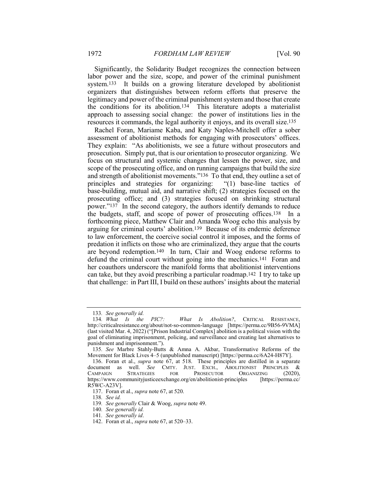Significantly, the Solidarity Budget recognizes the connection between labor power and the size, scope, and power of the criminal punishment system.133 It builds on a growing literature developed by abolitionist organizers that distinguishes between reform efforts that preserve the legitimacy and power of the criminal punishment system and those that create the conditions for its abolition.134 This literature adopts a materialist approach to assessing social change: the power of institutions lies in the resources it commands, the legal authority it enjoys, and its overall size.135

Rachel Foran, Mariame Kaba, and Katy Naples-Mitchell offer a sober assessment of abolitionist methods for engaging with prosecutors' offices. They explain: "As abolitionists, we see a future without prosecutors and prosecution. Simply put, that is our orientation to prosecutor organizing. We focus on structural and systemic changes that lessen the power, size, and scope of the prosecuting office, and on running campaigns that build the size and strength of abolitionist movements."136 To that end, they outline a set of principles and strategies for organizing: "(1) base-line tactics of base-building, mutual aid, and narrative shift; (2) strategies focused on the prosecuting office; and (3) strategies focused on shrinking structural power."137 In the second category, the authors identify demands to reduce the budgets, staff, and scope of power of prosecuting offices.138 In a forthcoming piece, Matthew Clair and Amanda Woog echo this analysis by arguing for criminal courts' abolition.139 Because of its endemic deference to law enforcement, the coercive social control it imposes, and the forms of predation it inflicts on those who are criminalized, they argue that the courts are beyond redemption.140 In turn, Clair and Woog endorse reforms to defund the criminal court without going into the mechanics.141 Foran and her coauthors underscore the manifold forms that abolitionist interventions can take, but they avoid prescribing a particular roadmap.142 I try to take up that challenge: in Part III, I build on these authors' insights about the material

<sup>133</sup>*. See generally id.*

 $What Is Abolition?, CRITICAL RESULTS,$ http://criticalresistance.org/about/not-so-common-language [https://perma.cc/9B56-9VMA] (last visited Mar. 4, 2022) ("[Prison Industrial Complex] abolition is a political vision with the goal of eliminating imprisonment, policing, and surveillance and creating last alternatives to punishment and imprisonment.").

<sup>135</sup>*. See* Marbre Stahly-Butts & Amna A. Akbar, Transformative Reforms of the Movement for Black Lives 4–5 (unpublished manuscript) [https://perma.cc/6A24-H87Y].

<sup>136.</sup> Foran et al., *supra* note 67, at 518. These principles are distilled in a separate document as well. *See* CMTY. JUST. EXCH., ABOLITIONIST PRINCIPLES & CAMPAIGN STRATEGIES FOR PROSECUTOR ORGANIZING (2020), https://www.communityjusticeexchange.org/en/abolitionist-principles [https://perma.cc/ R5WC-A23V].

<sup>137.</sup> Foran et al., *supra* note 67, at 520.

<sup>138</sup>*. See id.*

<sup>139</sup>*. See generally* Clair & Woog, *supra* note 49.

<sup>140</sup>*. See generally id.*

<sup>141</sup>*. See generally id*.

<sup>142.</sup> Foran et al., *supra* note 67, at 520–33.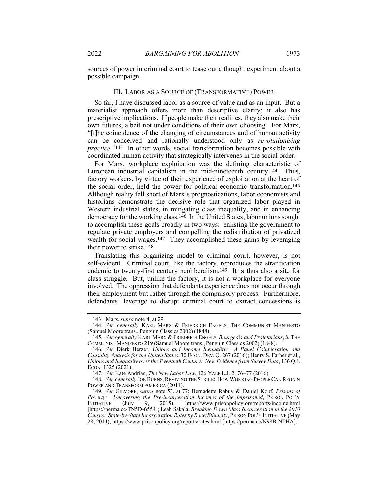sources of power in criminal court to tease out a thought experiment about a possible campaign.

#### III. LABOR AS A SOURCE OF (TRANSFORMATIVE) POWER

So far, I have discussed labor as a source of value and as an input. But a materialist approach offers more than descriptive clarity; it also has prescriptive implications. If people make their realities, they also make their own futures, albeit not under conditions of their own choosing. For Marx, "[t]he coincidence of the changing of circumstances and of human activity can be conceived and rationally understood only as *revolutionising practice*."<sup>143</sup> In other words, social transformation becomes possible with coordinated human activity that strategically intervenes in the social order.

For Marx, workplace exploitation was the defining characteristic of European industrial capitalism in the mid-nineteenth century.144 Thus, factory workers, by virtue of their experience of exploitation at the heart of the social order, held the power for political economic transformation.145 Although reality fell short of Marx's prognostications, labor economists and historians demonstrate the decisive role that organized labor played in Western industrial states, in mitigating class inequality, and in enhancing democracy for the working class.146 In the United States, labor unions sought to accomplish these goals broadly in two ways: enlisting the government to regulate private employers and compelling the redistribution of privatized wealth for social wages.<sup>147</sup> They accomplished these gains by leveraging their power to strike.148

Translating this organizing model to criminal court, however, is not self-evident. Criminal court, like the factory, reproduces the stratification endemic to twenty-first century neoliberalism.149 It is thus also a site for class struggle. But, unlike the factory, it is not a workplace for everyone involved. The oppression that defendants experience does not occur through their employment but rather through the compulsory process. Furthermore, defendants' leverage to disrupt criminal court to extract concessions is

<sup>143.</sup> Marx, *supra* note 4, at 29.

<sup>144</sup>*. See generally* KARL MARX & FRIEDRICH ENGELS, THE COMMUNIST MANIFESTO (Samuel Moore trans., Penguin Classics 2002) (1848).

<sup>145</sup>*. See generally* KARL MARX & FRIEDRICH ENGELS, *Bourgeois and Proletarians*, *in* THE COMMUNIST MANIFESTO 219 (Samuel Moore trans., Penguin Classics 2002) (1848).

<sup>146</sup>*. See* Dierk Herzer, *Unions and Income Inequality: A Panel Cointegration and Causality Analysis for the United States*, 30 ECON. DEV. Q. 267 (2016); Henry S. Farber et al., *Unions and Inequality over the Twentieth Century: New Evidence from Survey Data*, 136 Q.J. ECON. 1325 (2021).

<sup>147</sup>*. See* Kate Andrias, *The New Labor Law*, 126 YALE L.J. 2, 76–77 (2016).

<sup>148</sup>*. See generally* JOE BURNS, REVIVING THE STRIKE: HOW WORKING PEOPLE CAN REGAIN POWER AND TRANSFORM AMERICA (2011).

<sup>149</sup>*. See* GILMORE, *supra* note 53, at 77; Bernadette Rabuy & Daniel Kopf, *Prisons of Poverty: Uncovering the Pre-incarceration Incomes of the Imprisoned*, PRISON POL'Y INITIATIVE (July 9, 2015), https://www.prisonpolicy.org/reports/income.html https://www.prisonpolicy.org/reports/income.html [https://perma.cc/TN5D-6554]; Leah Sakala, *Breaking Down Mass Incarceration in the 2010 Census: State-by-State Incarceration Rates by Race/Ethnicity*, PRISON POL'Y INITIATIVE (May 28, 2014), https://www.prisonpolicy.org/reports/rates.html [https://perma.cc/N98B-NTHA].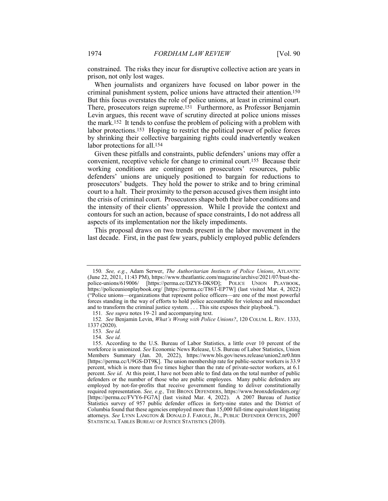constrained. The risks they incur for disruptive collective action are years in prison, not only lost wages.

When journalists and organizers have focused on labor power in the criminal punishment system, police unions have attracted their attention.150 But this focus overstates the role of police unions, at least in criminal court. There, prosecutors reign supreme.151 Furthermore, as Professor Benjamin Levin argues, this recent wave of scrutiny directed at police unions misses the mark.152 It tends to confuse the problem of policing with a problem with labor protections.153 Hoping to restrict the political power of police forces by shrinking their collective bargaining rights could inadvertently weaken labor protections for all.154

Given these pitfalls and constraints, public defenders' unions may offer a convenient, receptive vehicle for change to criminal court.155 Because their working conditions are contingent on prosecutors' resources, public defenders' unions are uniquely positioned to bargain for reductions to prosecutors' budgets. They hold the power to strike and to bring criminal court to a halt. Their proximity to the person accused gives them insight into the crisis of criminal court. Prosecutors shape both their labor conditions and the intensity of their clients' oppression. While I provide the context and contours for such an action, because of space constraints, I do not address all aspects of its implementation nor the likely impediments.

This proposal draws on two trends present in the labor movement in the last decade. First, in the past few years, publicly employed public defenders

<sup>150</sup>*. See, e.g.*, Adam Serwer, *The Authoritarian Instincts of Police Unions*, ATLANTIC (June 22, 2021, 11:43 PM), https://www.theatlantic.com/magazine/archive/2021/07/bust-thepolice-unions/619006/ [https://perma.cc/DZY8-DK9D]; POLICE UNION PLAYBOOK, https://policeunionplaybook.org/ [https://perma.cc/T86T-EP7W] (last visited Mar. 4, 2022) ("Police unions—organizations that represent police officers—are one of the most powerful forces standing in the way of efforts to hold police accountable for violence and misconduct and to transform the criminal justice system. . . . This site exposes their playbook.").

<sup>151</sup>*. See supra* notes 19–21 and accompanying text.

<sup>152</sup>*. See* Benjamin Levin, *What's Wrong with Police Unions?*, 120 COLUM. L. REV. 1333, 1337 (2020).

<sup>153</sup>*. See id.*

<sup>154</sup>*. See id.*

<sup>155.</sup> According to the U.S. Bureau of Labor Statistics, a little over 10 percent of the workforce is unionized. *See* Economic News Release, U.S. Bureau of Labor Statistics, Union Members Summary (Jan. 20, 2022), https://www.bls.gov/news.release/union2.nr0.htm [https://perma.cc/U9GS-DT9K]. The union membership rate for public-sector workers is 33.9 percent, which is more than five times higher than the rate of private-sector workers, at 6.1 percent. *See id*. At this point, I have not been able to find data on the total number of public defenders or the number of those who are public employees. Many public defenders are employed by not-for-profits that receive government funding to deliver constitutionally required representation. *See, e.g.,* THE BRONX DEFENDERS, https://www.bronxdefenders.org/ [https://perma.cc/FVY6-FG7A] (last visited Mar. 4, 2022). A 2007 Bureau of Justice Statistics survey of 957 public defender offices in forty-nine states and the District of Columbia found that these agencies employed more than 15,000 full-time equivalent litigating attorneys. *See* LYNN LANGTON & DONALD J. FAROLE, JR., PUBLIC DEFENDER OFFICES, 2007 STATISTICAL TABLES BUREAU OF JUSTICE STATISTICS (2010).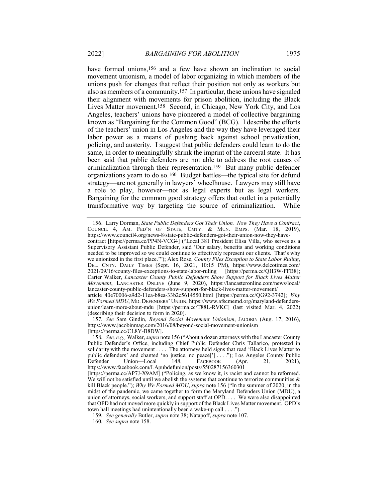have formed unions,<sup>156</sup> and a few have shown an inclination to social movement unionism, a model of labor organizing in which members of the unions push for changes that reflect their position not only as workers but also as members of a community.157 In particular, these unions have signaled their alignment with movements for prison abolition, including the Black Lives Matter movement.158 Second, in Chicago, New York City, and Los Angeles, teachers' unions have pioneered a model of collective bargaining known as "Bargaining for the Common Good" (BCG). I describe the efforts of the teachers' union in Los Angeles and the way they have leveraged their labor power as a means of pushing back against school privatization, policing, and austerity. I suggest that public defenders could learn to do the same, in order to meaningfully shrink the imprint of the carceral state. It has been said that public defenders are not able to address the root causes of criminalization through their representation.159 But many public defender organizations yearn to do so.160 Budget battles—the typical site for defund strategy—are not generally in lawyers' wheelhouse. Lawyers may still have a role to play, however—not as legal experts but as legal workers. Bargaining for the common good strategy offers that outlet in a potentially transformative way by targeting the source of criminalization. While

157*. See* Sam Gindin, *Beyond Social Movement Unionism*, JACOBIN (Aug. 17, 2016), https://www.jacobinmag.com/2016/08/beyond-social-movement-unionism [https://perma.cc/CL8Y-B8DW].

<sup>156.</sup> Larry Dorman, *State Public Defenders Got Their Union. Now They Have a Contract*, COUNCIL 4, AM. FED'N OF STATE, CMTY. & MUN. EMPS. (Mar. 18, 2019), https://www.council4.org/news-8/state-public-defenders-got-their-union-now-they-havecontract [https://perma.cc/PP4N-VCG4] ("Local 381 President Elisa Villa, who serves as a Supervisory Assistant Public Defender, said 'Our salary, benefits and working conditions needed to be improved so we could continue to effectively represent our clients. That's why we unionized in the first place.'"); Alex Rose, *County Files Exception to State Labor Ruling*, DEL. CNTY. DAILY TIMES (Sept. 16, 2021, 10:15 PM), https://www.delcotimes.com/ 2021/09/16/county-files-exceptions-to-state-labor-ruling [https://perma.cc/QH3W-FFB8]; Carter Walker, *Lancaster County Public Defenders Show Support for Black Lives Matter Movement*, LANCASTER ONLINE (June 9, 2020), https://lancasteronline.com/news/local/ lancaster-county-public-defenders-show-support-for-black-lives-matter-movement/ article\_40e70006-a9d2-11ea-b8ea-33b2c5614550.html [https://perma.cc/QG92-3742]; *Why* 

*We Formed MDU*, MD. DEFENDERS' UNION, https://www.afscmemd.org/maryland-defendersunion/learn-more-about-mdu [https://perma.cc/T88L-RVKC] (last visited Mar. 4, 2022) (describing their decision to form in 2020).

<sup>158</sup>*. See, e.g.,* Walker, *supra* note 156 ("About a dozen attorneys with the Lancaster County Public Defender's Office, including Chief Public Defender Chris Tallarico, protested in solidarity with the movement . . . . The attorneys held signs that read 'Black Lives Matter to public defenders' and chanted 'no justice, no peace['] . . . ."); Los Angeles County Public Union—Local 148, FACEBOOK (Apr. 21, https://www.facebook.com/LApubdefunion/posts/550287156360301 [https://perma.cc/AP7J-X9AM] ("Policing, as we know it, is racist and cannot be reformed. We will not be satisfied until we abolish the systems that continue to terrorize communities  $\&$ kill Black people."); *Why We Formed MDU*, *supra* note 156 ("In the summer of 2020, in the midst of the pandemic, we came together to form the Maryland Defenders Union (MDU), a union of attorneys, social workers, and support staff at OPD. . . . We were also disappointed

that OPD had not moved more quickly in support of the Black Lives Matter movement. OPD's town hall meetings had unintentionally been a wake-up call . . . .").

<sup>159</sup>*. See generally* Butler, *supra* note 38; Natapoff, *supra* note 107.

<sup>160</sup>*. See supra* note 158.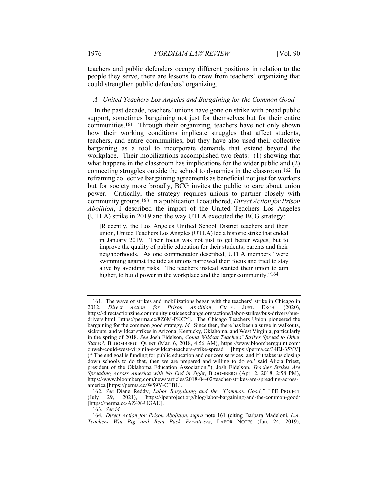teachers and public defenders occupy different positions in relation to the people they serve, there are lessons to draw from teachers' organizing that could strengthen public defenders' organizing.

# *A. United Teachers Los Angeles and Bargaining for the Common Good*

In the past decade, teachers' unions have gone on strike with broad public support, sometimes bargaining not just for themselves but for their entire communities.161 Through their organizing, teachers have not only shown how their working conditions implicate struggles that affect students, teachers, and entire communities, but they have also used their collective bargaining as a tool to incorporate demands that extend beyond the workplace. Their mobilizations accomplished two feats: (1) showing that what happens in the classroom has implications for the wider public and (2) connecting struggles outside the school to dynamics in the classroom.162 In reframing collective bargaining agreements as beneficial not just for workers but for society more broadly, BCG invites the public to care about union power. Critically, the strategy requires unions to partner closely with community groups.163 In a publication I coauthored, *Direct Action for Prison Abolition*, I described the import of the United Teachers Los Angeles (UTLA) strike in 2019 and the way UTLA executed the BCG strategy:

[R]ecently, the Los Angeles Unified School District teachers and their union, United Teachers Los Angeles (UTLA) led a historic strike that ended in January 2019. Their focus was not just to get better wages, but to improve the quality of public education for their students, parents and their neighborhoods. As one commentator described, UTLA members "were swimming against the tide as unions narrowed their focus and tried to stay alive by avoiding risks. The teachers instead wanted their union to aim higher, to build power in the workplace and the larger community."<sup>164</sup>

163*. See id.*

<sup>161.</sup> The wave of strikes and mobilizations began with the teachers' strike in Chicago in 2012. *Direct Action for Prison Abolition*, CMTY. JUST. EXCH. (2020), https://directactionzine.communityjusticeexchange.org/actions/labor-strikes/bus-drivers/busdrivers.html [https://perma.cc/8Z6M-PKCY]. The Chicago Teachers Union pioneered the bargaining for the common good strategy. *Id.* Since then, there has been a surge in walkouts, sickouts, and wildcat strikes in Arizona, Kentucky, Oklahoma, and West Virginia, particularly in the spring of 2018. *See* Josh Eidelson, *Could Wildcat Teachers' Strikes Spread to Other States?*, BLOOMBERG: QUINT (Mar. 6, 2018, 4:56 AM), https://www.bloombergquint.com/ onweb/could-west-virginia-s-wildcat-teachers-strike-spread [https://perma.cc/34EJ-35YV] ("'The end goal is funding for public education and our core services, and if it takes us closing down schools to do that, then we are prepared and willing to do so,' said Alicia Priest, president of the Oklahoma Education Association."); Josh Eidelson, *Teacher Strikes Are Spreading Across America with No End in Sight*, BLOOMBERG (Apr. 2, 2018, 2:58 PM), https://www.bloomberg.com/news/articles/2018-04-02/teacher-strikes-are-spreading-acrossamerica [https://perma.cc/W59Y-CEBL].

<sup>162</sup>*. See* Diane Reddy, *Labor Bargaining and the "Common Good*,*"* LPE PROJECT (July 29, 2021), https://lpeproject.org/blog/labor-bargaining-and-the-common-good/ [https://perma.cc/AZ4X-UGAU].

<sup>164</sup>*. Direct Action for Prison Abolition*, *supra* note 161 (citing Barbara Madeloni, *L.A. Teachers Win Big and Beat Back Privatizers*, LABOR NOTES (Jan. 24, 2019),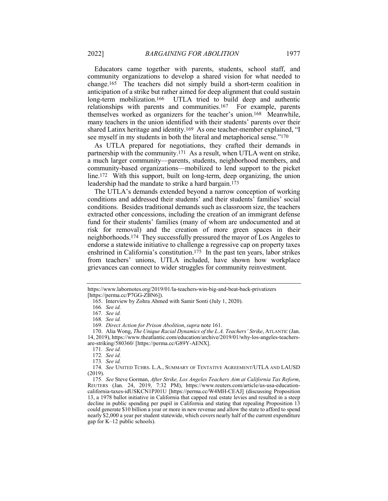Educators came together with parents, students, school staff, and community organizations to develop a shared vision for what needed to change.165 The teachers did not simply build a short-term coalition in anticipation of a strike but rather aimed for deep alignment that could sustain long-term mobilization.166 UTLA tried to build deep and authentic relationships with parents and communities.167 For example, parents themselves worked as organizers for the teacher's union.168 Meanwhile, many teachers in the union identified with their students' parents over their shared Latinx heritage and identity.169 As one teacher-member explained, "I see myself in my students in both the literal and metaphorical sense."170

As UTLA prepared for negotiations, they crafted their demands in partnership with the community.171 As a result, when UTLA went on strike, a much larger community—parents, students, neighborhood members, and community-based organizations—mobilized to lend support to the picket line.<sup>172</sup> With this support, built on long-term, deep organizing, the union leadership had the mandate to strike a hard bargain.173

The UTLA's demands extended beyond a narrow conception of working conditions and addressed their students' and their students' families' social conditions. Besides traditional demands such as classroom size, the teachers extracted other concessions, including the creation of an immigrant defense fund for their students' families (many of whom are undocumented and at risk for removal) and the creation of more green spaces in their neighborhoods.174 They successfully pressured the mayor of Los Angeles to endorse a statewide initiative to challenge a regressive cap on property taxes enshrined in California's constitution.175 In the past ten years, labor strikes from teachers' unions, UTLA included, have shown how workplace grievances can connect to wider struggles for community reinvestment.

https://www.labornotes.org/2019/01/la-teachers-win-big-and-beat-back-privatizers [https://perma.cc/P7GG-ZBN6]).

<sup>165.</sup> Interview by Zohra Ahmed with Samir Sonti (July 1, 2020).

<sup>166</sup>*. See id.*

<sup>167</sup>*. See id.*

<sup>168</sup>*. See id.*

<sup>169</sup>*. Direct Action for Prison Abolition*, *supra* note 161.

<sup>170.</sup> Alia Wong, *The Unique Racial Dynamics of the L.A. Teachers' Strike*, ATLANTIC (Jan.

<sup>14, 2019),</sup> https://www.theatlantic.com/education/archive/2019/01/why-los-angeles-teachersare-striking/580360/ [https://perma.cc/G89Y-AENX].

<sup>171</sup>*. See id.*

<sup>172</sup>*. See id.*

<sup>173</sup>*. See id.*

<sup>174</sup>*. See* UNITED TCHRS. L.A., SUMMARY OF TENTATIVE AGREEMENT/UTLA AND LAUSD (2019).

<sup>175</sup>*. See* Steve Gorman, *After Strike, Los Angeles Teachers Aim at California Tax Reform*, REUTERS (Jan. 24, 2019, 7:32 PM), https://www.reuters.com/article/us-usa-educationcalifornia-taxes-idUSKCN1PJ01U [https://perma.cc/W4MH-CEAJ] (discussing Proposition 13, a 1978 ballot initiative in California that capped real estate levies and resulted in a steep decline in public spending per pupil in California and stating that repealing Proposition 13 could generate \$10 billion a year or more in new revenue and allow the state to afford to spend nearly \$2,000 a year per student statewide, which covers nearly half of the current expenditure gap for K–12 public schools).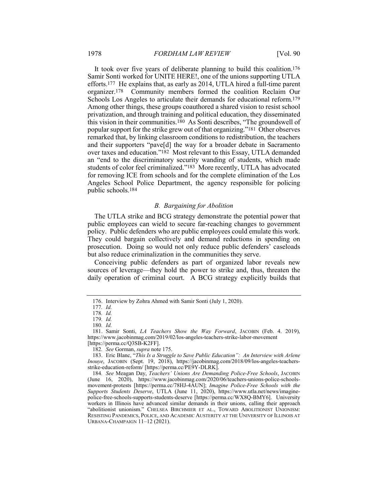It took over five years of deliberate planning to build this coalition.176 Samir Sonti worked for UNITE HERE!, one of the unions supporting UTLA efforts.177 He explains that, as early as 2014, UTLA hired a full-time parent organizer.178 Community members formed the coalition Reclaim Our Schools Los Angeles to articulate their demands for educational reform.179 Among other things, these groups coauthored a shared vision to resist school privatization, and through training and political education, they disseminated this vision in their communities.180 As Sonti describes, "The groundswell of popular support for the strike grew out of that organizing."181 Other observes remarked that, by linking classroom conditions to redistribution, the teachers and their supporters "pave[d] the way for a broader debate in Sacramento over taxes and education."182 Most relevant to this Essay, UTLA demanded an "end to the discriminatory security wanding of students, which made students of color feel criminalized."183 More recently, UTLA has advocated for removing ICE from schools and for the complete elimination of the Los Angeles School Police Department, the agency responsible for policing public schools.184

# *B. Bargaining for Abolition*

The UTLA strike and BCG strategy demonstrate the potential power that public employees can wield to secure far-reaching changes to government policy. Public defenders who are public employees could emulate this work. They could bargain collectively and demand reductions in spending on prosecution. Doing so would not only reduce public defenders' caseloads but also reduce criminalization in the communities they serve.

Conceiving public defenders as part of organized labor reveals new sources of leverage—they hold the power to strike and, thus, threaten the daily operation of criminal court. A BCG strategy explicitly builds that

<sup>176.</sup> Interview by Zohra Ahmed with Samir Sonti (July 1, 2020).

<sup>177</sup>*. Id.*

<sup>178</sup>*. Id.*

<sup>179</sup>*. Id.*

<sup>180</sup>*. Id.*

<sup>181.</sup> Samir Sonti, *LA Teachers Show the Way Forward*, JACOBIN (Feb. 4. 2019), https://www.jacobinmag.com/2019/02/los-angeles-teachers-strike-labor-movement [https://perma.cc/Q3SB-K2FF].

<sup>182</sup>*. See* Gorman, *supra* note 175.

<sup>183.</sup> Eric Blanc, "*This Is a Struggle to Save Public Education": An Interview with Arlene Inouye*, JACOBIN (Sept. 19, 2018), https://jacobinmag.com/2018/09/los-angeles-teachersstrike-education-reform/ [https://perma.cc/PE9Y-DLRK].

<sup>184</sup>*. See* Meagan Day, *Teachers' Unions Are Demanding Police-Free Schools*, JACOBIN (June 16, 2020), https://www.jacobinmag.com/2020/06/teachers-unions-police-schoolsmovement-protests [https://perma.cc/78HJ-4AUN]; *Imagine Police-Free Schools with the Supports Students Deserve*, UTLA (June 11, 2020), https://www.utla.net/news/imaginepolice-free-schools-supports-students-deserve [https://perma.cc/WX8Q-BMY6]. University workers in Illinois have advanced similar demands in their unions, calling their approach "abolitionist unionism." CHELSEA BIRCHMIER ET AL., TOWARD ABOLITIONIST UNIONISM: RESISTING PANDEMICS, POLICE, AND ACADEMIC AUSTERITY AT THE UNIVERSITY OF ILLINOIS AT URBANA-CHAMPAIGN 11–12 (2021).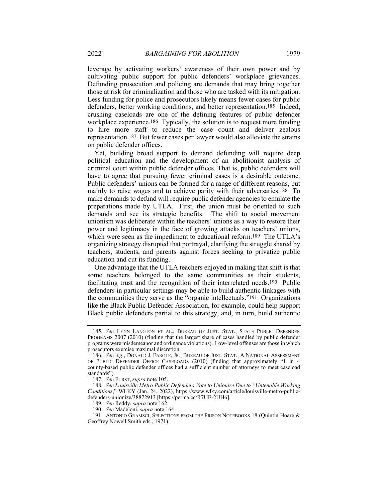leverage by activating workers' awareness of their own power and by cultivating public support for public defenders' workplace grievances. Defunding prosecution and policing are demands that may bring together those at risk for criminalization and those who are tasked with its mitigation. Less funding for police and prosecutors likely means fewer cases for public defenders, better working conditions, and better representation.185 Indeed, crushing caseloads are one of the defining features of public defender workplace experience.<sup>186</sup> Typically, the solution is to request more funding to hire more staff to reduce the case count and deliver zealous representation.187 But fewer cases per lawyer would also alleviate the strains on public defender offices.

Yet, building broad support to demand defunding will require deep political education and the development of an abolitionist analysis of criminal court within public defender offices. That is, public defenders will have to agree that pursuing fewer criminal cases is a desirable outcome. Public defenders' unions can be formed for a range of different reasons, but mainly to raise wages and to achieve parity with their adversaries.188 To make demands to defund will require public defender agencies to emulate the preparations made by UTLA. First, the union must be oriented to such demands and see its strategic benefits. The shift to social movement unionism was deliberate within the teachers' unions as a way to restore their power and legitimacy in the face of growing attacks on teachers' unions, which were seen as the impediment to educational reform.<sup>189</sup> The UTLA's organizing strategy disrupted that portrayal, clarifying the struggle shared by teachers, students, and parents against forces seeking to privatize public education and cut its funding.

One advantage that the UTLA teachers enjoyed in making that shift is that some teachers belonged to the same communities as their students, facilitating trust and the recognition of their interrelated needs.190 Public defenders in particular settings may be able to build authentic linkages with the communities they serve as the "organic intellectuals."191 Organizations like the Black Public Defender Association, for example, could help support Black public defenders partial to this strategy, and, in turn, build authentic

<sup>185</sup>*. See* LYNN LANGTON ET AL., BUREAU OF JUST. STAT., STATE PUBLIC DEFENDER PROGRAMS 2007 (2010) (finding that the largest share of cases handled by public defender programs were misdemeanor and ordinance violations). Low-level offenses are those in which prosecutors exercise maximal discretion.

<sup>186</sup>*. See e.g.*, DONALD J. FAROLE, JR., BUREAU OF JUST. STAT., A NATIONAL ASSESSMENT OF PUBLIC DEFENDER OFFICE CASELOADS (2010) (finding that approximately "1 in 4 county-based public defender offices had a sufficient number of attorneys to meet caseload standards").

<sup>187</sup>*. See* FURST, *supra* note 105.

<sup>188</sup>*. See Louisville Metro Public Defenders Vote to Unionize Due to "Untenable Working Conditions*," WLKY (Jan. 24, 2022), https://www.wlky.com/article/louisville-metro-publicdefenders-unionize/38872913 [https://perma.cc/R7UE-2UH6].

<sup>189</sup>*. See* Reddy, *supra* note 162.

<sup>190</sup>*. See* Madeloni, *supra* note 164.

<sup>191.</sup> ANTONIO GRAMSCI, SELECTIONS FROM THE PRISON NOTEBOOKS 18 (Quintin Hoare & Geoffrey Nowell Smith eds., 1971).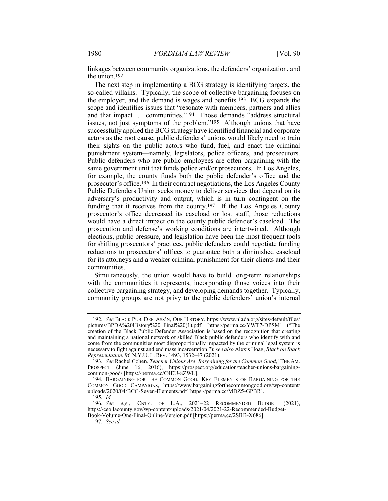linkages between community organizations, the defenders' organization, and the union.192

The next step in implementing a BCG strategy is identifying targets, the so-called villains. Typically, the scope of collective bargaining focuses on the employer, and the demand is wages and benefits.193 BCG expands the scope and identifies issues that "resonate with members, partners and allies and that impact . . . communities."194 Those demands "address structural issues, not just symptoms of the problem."195 Although unions that have successfully applied the BCG strategy have identified financial and corporate actors as the root cause, public defenders' unions would likely need to train their sights on the public actors who fund, fuel, and enact the criminal punishment system—namely, legislators, police officers, and prosecutors. Public defenders who are public employees are often bargaining with the same government unit that funds police and/or prosecutors. In Los Angeles, for example, the county funds both the public defender's office and the prosecutor's office.196 In their contract negotiations, the Los Angeles County Public Defenders Union seeks money to deliver services that depend on its adversary's productivity and output, which is in turn contingent on the funding that it receives from the county.197 If the Los Angeles County prosecutor's office decreased its caseload or lost staff, those reductions would have a direct impact on the county public defender's caseload. The prosecution and defense's working conditions are intertwined. Although elections, public pressure, and legislation have been the most frequent tools for shifting prosecutors' practices, public defenders could negotiate funding reductions to prosecutors' offices to guarantee both a diminished caseload for its attorneys and a weaker criminal punishment for their clients and their communities.

Simultaneously, the union would have to build long-term relationships with the communities it represents, incorporating those voices into their collective bargaining strategy, and developing demands together. Typically, community groups are not privy to the public defenders' union's internal

197*. See id.*

<sup>192</sup>*. See* BLACK PUB. DEF. ASS'N, OUR HISTORY, https://www.nlada.org/sites/default/files/ pictures/BPDA%20History%20\_Final%20(1).pdf [https://perma.cc/YWT7-DPSM] ("The creation of the Black Public Defender Association is based on the recognition that creating and maintaining a national network of skilled Black public defenders who identify with and come from the communities most disproportionally impacted by the criminal legal system is necessary to fight against and end mass incarceration."); *see also* Alexis Hoag, *Black on Black Representation*, 96 N.Y.U. L. REV. 1493, 1532–47 (2021).

<sup>193</sup>*. See* Rachel Cohen, *Teacher Unions Are 'Bargaining for the Common Good*,*'* THE AM. PROSPECT (June 16, 2016), https://prospect.org/education/teacher-unions-bargainingcommon-good/ [https://perma.cc/C4EU-8ZWL].

<sup>194</sup>*.* BARGAINING FOR THE COMMON GOOD, KEY ELEMENTS OF BARGAINING FOR THE COMMON GOOD CAMPAIGNS, https://www.bargainingforthecommongood.org/wp-content/ uploads/2020/04/BCG-Seven-Elements.pdf [https://perma.cc/MDZ5-GPBR].

<sup>195</sup>*. Id.*

<sup>196</sup>*. See e.g.*, CNTY. OF L.A., 2021–22 RECOMMENDED BUDGET (2021), https://ceo.lacounty.gov/wp-content/uploads/2021/04/2021-22-Recommended-Budget-Book-Volume-One-Final-Online-Version.pdf [https://perma.cc/2SBB-X686].